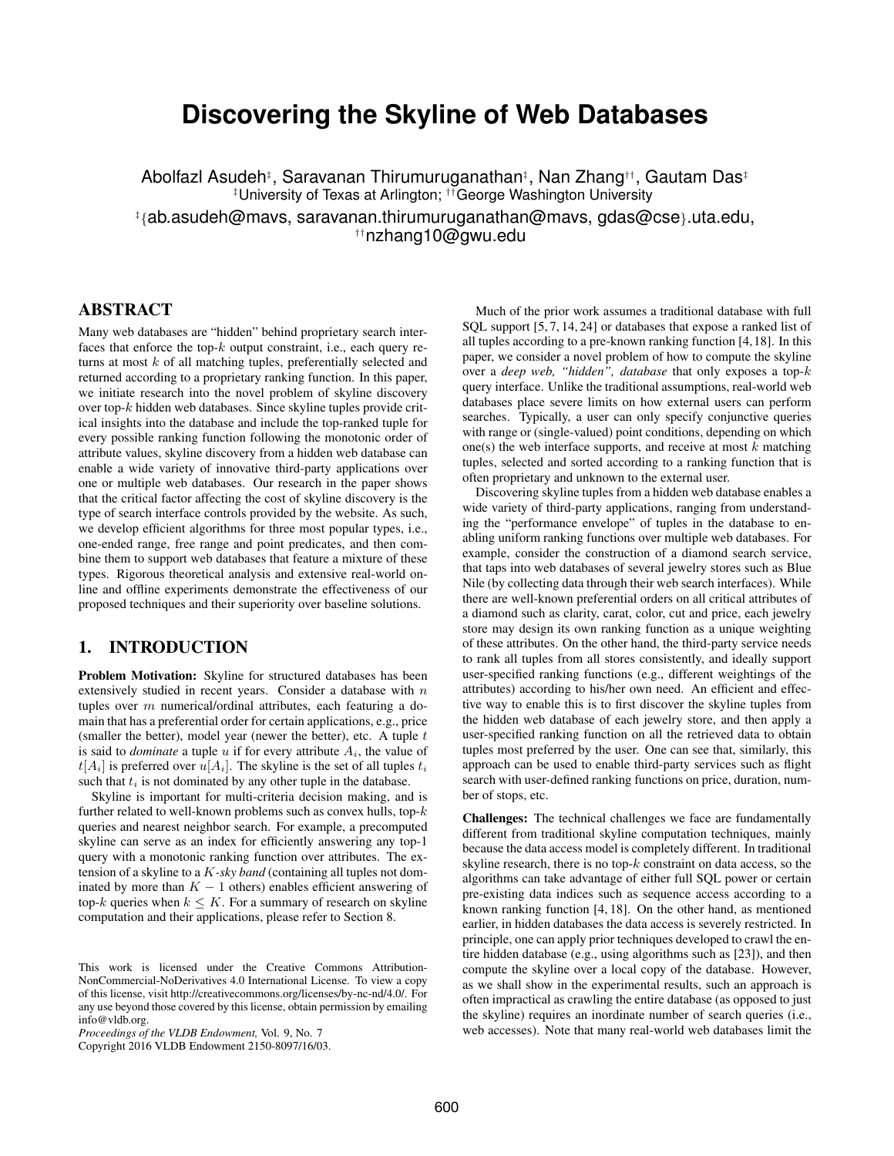# **Discovering the Skyline of Web Databases**

Abolfazl Asudeh‡ , Saravanan Thirumuruganathan‡ , Nan Zhang††, Gautam Das‡ ‡University of Texas at Arlington; ††George Washington University ‡ {ab.asudeh@mavs, saravanan.thirumuruganathan@mavs, gdas@cse}.uta.edu, ††nzhang10@gwu.edu

# ABSTRACT

Many web databases are "hidden" behind proprietary search interfaces that enforce the top- $k$  output constraint, i.e., each query returns at most k of all matching tuples, preferentially selected and returned according to a proprietary ranking function. In this paper, we initiate research into the novel problem of skyline discovery over top-k hidden web databases. Since skyline tuples provide critical insights into the database and include the top-ranked tuple for every possible ranking function following the monotonic order of attribute values, skyline discovery from a hidden web database can enable a wide variety of innovative third-party applications over one or multiple web databases. Our research in the paper shows that the critical factor affecting the cost of skyline discovery is the type of search interface controls provided by the website. As such, we develop efficient algorithms for three most popular types, i.e., one-ended range, free range and point predicates, and then combine them to support web databases that feature a mixture of these types. Rigorous theoretical analysis and extensive real-world online and offline experiments demonstrate the effectiveness of our proposed techniques and their superiority over baseline solutions.

# 1. INTRODUCTION

Problem Motivation: Skyline for structured databases has been extensively studied in recent years. Consider a database with  $n$ tuples over  $m$  numerical/ordinal attributes, each featuring a domain that has a preferential order for certain applications, e.g., price (smaller the better), model year (newer the better), etc. A tuple  $t$ is said to *dominate* a tuple u if for every attribute  $A_i$ , the value of  $t[A_i]$  is preferred over  $u[A_i]$ . The skyline is the set of all tuples  $t_i$ such that  $t_i$  is not dominated by any other tuple in the database.

Skyline is important for multi-criteria decision making, and is further related to well-known problems such as convex hulls, top- $k$ queries and nearest neighbor search. For example, a precomputed skyline can serve as an index for efficiently answering any top-1 query with a monotonic ranking function over attributes. The extension of a skyline to a K*-sky band* (containing all tuples not dominated by more than  $K - 1$  others) enables efficient answering of top-k queries when  $k \leq K$ . For a summary of research on skyline computation and their applications, please refer to Section 8.

Copyright 2016 VLDB Endowment 2150-8097/16/03.

Much of the prior work assumes a traditional database with full SQL support [5, 7, 14, 24] or databases that expose a ranked list of all tuples according to a pre-known ranking function [4,18]. In this paper, we consider a novel problem of how to compute the skyline over a *deep web, "hidden", database* that only exposes a top-k query interface. Unlike the traditional assumptions, real-world web databases place severe limits on how external users can perform searches. Typically, a user can only specify conjunctive queries with range or (single-valued) point conditions, depending on which one(s) the web interface supports, and receive at most  $k$  matching tuples, selected and sorted according to a ranking function that is often proprietary and unknown to the external user.

Discovering skyline tuples from a hidden web database enables a wide variety of third-party applications, ranging from understanding the "performance envelope" of tuples in the database to enabling uniform ranking functions over multiple web databases. For example, consider the construction of a diamond search service, that taps into web databases of several jewelry stores such as Blue Nile (by collecting data through their web search interfaces). While there are well-known preferential orders on all critical attributes of a diamond such as clarity, carat, color, cut and price, each jewelry store may design its own ranking function as a unique weighting of these attributes. On the other hand, the third-party service needs to rank all tuples from all stores consistently, and ideally support user-specified ranking functions (e.g., different weightings of the attributes) according to his/her own need. An efficient and effective way to enable this is to first discover the skyline tuples from the hidden web database of each jewelry store, and then apply a user-specified ranking function on all the retrieved data to obtain tuples most preferred by the user. One can see that, similarly, this approach can be used to enable third-party services such as flight search with user-defined ranking functions on price, duration, number of stops, etc.

Challenges: The technical challenges we face are fundamentally different from traditional skyline computation techniques, mainly because the data access model is completely different. In traditional skyline research, there is no top- $k$  constraint on data access, so the algorithms can take advantage of either full SQL power or certain pre-existing data indices such as sequence access according to a known ranking function [4, 18]. On the other hand, as mentioned earlier, in hidden databases the data access is severely restricted. In principle, one can apply prior techniques developed to crawl the entire hidden database (e.g., using algorithms such as [23]), and then compute the skyline over a local copy of the database. However, as we shall show in the experimental results, such an approach is often impractical as crawling the entire database (as opposed to just the skyline) requires an inordinate number of search queries (i.e., web accesses). Note that many real-world web databases limit the

This work is licensed under the Creative Commons Attribution-NonCommercial-NoDerivatives 4.0 International License. To view a copy of this license, visit http://creativecommons.org/licenses/by-nc-nd/4.0/. For any use beyond those covered by this license, obtain permission by emailing info@vldb.org.

*Proceedings of the VLDB Endowment,* Vol. 9, No. 7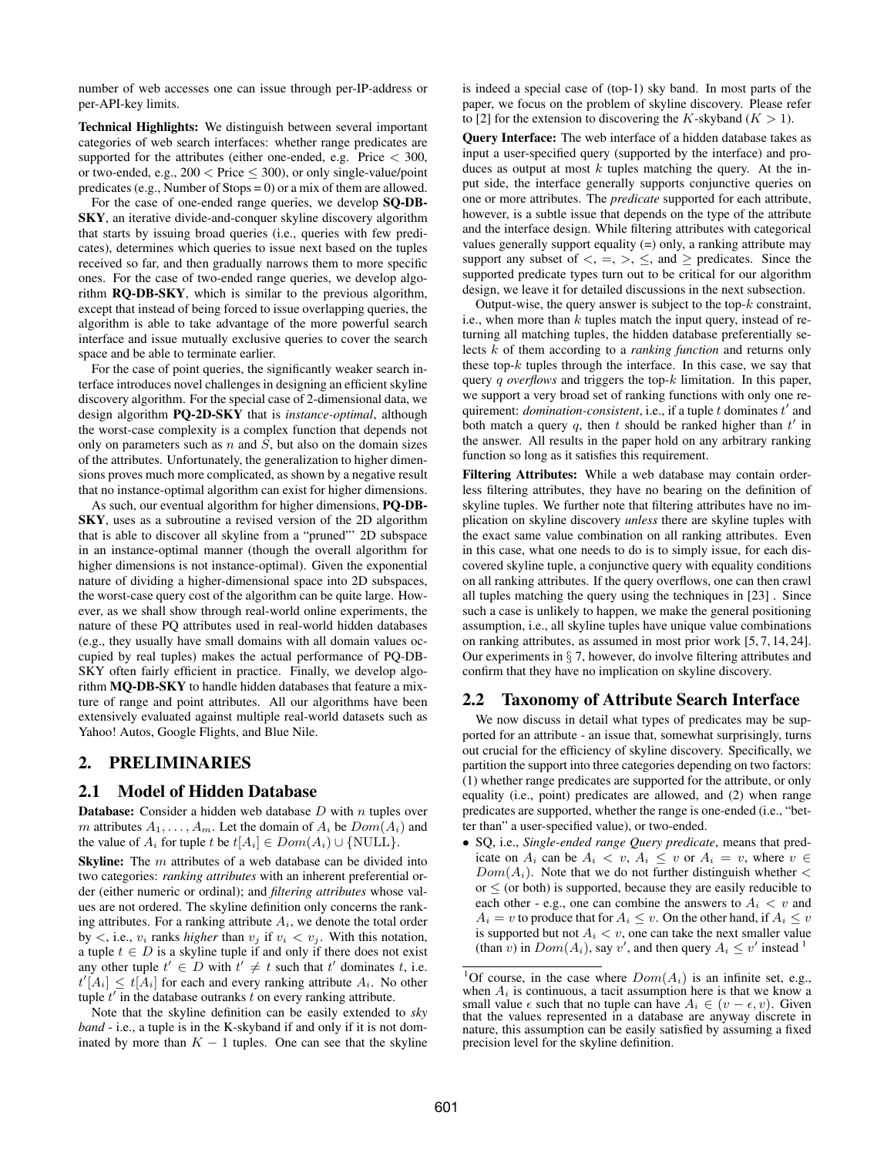number of web accesses one can issue through per-IP-address or per-API-key limits.

Technical Highlights: We distinguish between several important categories of web search interfaces: whether range predicates are supported for the attributes (either one-ended, e.g. Price  $<$  300, or two-ended, e.g.,  $200 <$  Price  $\leq 300$ ), or only single-value/point predicates (e.g., Number of Stops = 0) or a mix of them are allowed.

For the case of one-ended range queries, we develop SQ-DB-SKY, an iterative divide-and-conquer skyline discovery algorithm that starts by issuing broad queries (i.e., queries with few predicates), determines which queries to issue next based on the tuples received so far, and then gradually narrows them to more specific ones. For the case of two-ended range queries, we develop algorithm RQ-DB-SKY, which is similar to the previous algorithm, except that instead of being forced to issue overlapping queries, the algorithm is able to take advantage of the more powerful search interface and issue mutually exclusive queries to cover the search space and be able to terminate earlier.

For the case of point queries, the significantly weaker search interface introduces novel challenges in designing an efficient skyline discovery algorithm. For the special case of 2-dimensional data, we design algorithm PQ-2D-SKY that is *instance-optimal*, although the worst-case complexity is a complex function that depends not only on parameters such as  $n$  and  $S$ , but also on the domain sizes of the attributes. Unfortunately, the generalization to higher dimensions proves much more complicated, as shown by a negative result that no instance-optimal algorithm can exist for higher dimensions.

As such, our eventual algorithm for higher dimensions, PQ-DB-SKY, uses as a subroutine a revised version of the 2D algorithm that is able to discover all skyline from a "pruned"' 2D subspace in an instance-optimal manner (though the overall algorithm for higher dimensions is not instance-optimal). Given the exponential nature of dividing a higher-dimensional space into 2D subspaces, the worst-case query cost of the algorithm can be quite large. However, as we shall show through real-world online experiments, the nature of these PQ attributes used in real-world hidden databases (e.g., they usually have small domains with all domain values occupied by real tuples) makes the actual performance of PQ-DB-SKY often fairly efficient in practice. Finally, we develop algorithm MQ-DB-SKY to handle hidden databases that feature a mixture of range and point attributes. All our algorithms have been extensively evaluated against multiple real-world datasets such as Yahoo! Autos, Google Flights, and Blue Nile.

#### 2. PRELIMINARIES

#### 2.1 Model of Hidden Database

**Database:** Consider a hidden web database  $D$  with  $n$  tuples over m attributes  $A_1, \ldots, A_m$ . Let the domain of  $A_i$  be  $Dom(A_i)$  and the value of  $A_i$  for tuple t be  $t[A_i] \in Dom(A_i) \cup \{NULL\}.$ 

**Skyline:** The  $m$  attributes of a web database can be divided into two categories: *ranking attributes* with an inherent preferential order (either numeric or ordinal); and *filtering attributes* whose values are not ordered. The skyline definition only concerns the ranking attributes. For a ranking attribute  $A_i$ , we denote the total order by  $\langle$ , i.e.,  $v_i$  ranks *higher* than  $v_i$  if  $v_i \langle v_i$ . With this notation, a tuple  $t \in D$  is a skyline tuple if and only if there does not exist any other tuple  $t' \in D$  with  $t' \neq t$  such that  $t'$  dominates  $t$ , i.e.  $t'[A_i] \leq t[A_i]$  for each and every ranking attribute  $A_i$ . No other tuple  $t'$  in the database outranks  $t$  on every ranking attribute.

Note that the skyline definition can be easily extended to *sky band* - i.e., a tuple is in the K-skyband if and only if it is not dominated by more than  $K - 1$  tuples. One can see that the skyline is indeed a special case of (top-1) sky band. In most parts of the paper, we focus on the problem of skyline discovery. Please refer to [2] for the extension to discovering the K-skyband  $(K > 1)$ .

Query Interface: The web interface of a hidden database takes as input a user-specified query (supported by the interface) and produces as output at most  $k$  tuples matching the query. At the input side, the interface generally supports conjunctive queries on one or more attributes. The *predicate* supported for each attribute, however, is a subtle issue that depends on the type of the attribute and the interface design. While filtering attributes with categorical values generally support equality (=) only, a ranking attribute may support any subset of  $\lt, =, >, \le$ , and  $\ge$  predicates. Since the supported predicate types turn out to be critical for our algorithm design, we leave it for detailed discussions in the next subsection.

Output-wise, the query answer is subject to the top- $k$  constraint, i.e., when more than  $k$  tuples match the input query, instead of returning all matching tuples, the hidden database preferentially selects k of them according to a *ranking function* and returns only these top- $k$  tuples through the interface. In this case, we say that query q *overflows* and triggers the top-k limitation. In this paper, we support a very broad set of ranking functions with only one requirement:  $domination-consistent$ , i.e., if a tuple  $t$  dominates  $t'$  and both match a query q, then t should be ranked higher than  $t'$  in the answer. All results in the paper hold on any arbitrary ranking function so long as it satisfies this requirement.

Filtering Attributes: While a web database may contain orderless filtering attributes, they have no bearing on the definition of skyline tuples. We further note that filtering attributes have no implication on skyline discovery *unless* there are skyline tuples with the exact same value combination on all ranking attributes. Even in this case, what one needs to do is to simply issue, for each discovered skyline tuple, a conjunctive query with equality conditions on all ranking attributes. If the query overflows, one can then crawl all tuples matching the query using the techniques in [23] . Since such a case is unlikely to happen, we make the general positioning assumption, i.e., all skyline tuples have unique value combinations on ranking attributes, as assumed in most prior work [5, 7, 14, 24]. Our experiments in § 7, however, do involve filtering attributes and confirm that they have no implication on skyline discovery.

#### 2.2 Taxonomy of Attribute Search Interface

We now discuss in detail what types of predicates may be supported for an attribute - an issue that, somewhat surprisingly, turns out crucial for the efficiency of skyline discovery. Specifically, we partition the support into three categories depending on two factors: (1) whether range predicates are supported for the attribute, or only equality (i.e., point) predicates are allowed, and (2) when range predicates are supported, whether the range is one-ended (i.e., "better than" a user-specified value), or two-ended.

• SQ, i.e., *Single-ended range Query predicate*, means that predicate on  $A_i$  can be  $A_i < v$ ,  $A_i \le v$  or  $A_i = v$ , where  $v \in$  $Dom(A_i)$ . Note that we do not further distinguish whether  $\lt$ or  $\leq$  (or both) is supported, because they are easily reducible to each other - e.g., one can combine the answers to  $A_i < v$  and  $A_i = v$  to produce that for  $A_i \leq v$ . On the other hand, if  $A_i \leq v$ is supported but not  $A_i < v$ , one can take the next smaller value (than v) in  $Dom(A_i)$ , say v', and then query  $A_i \le v'$  instead <sup>1</sup>

<sup>&</sup>lt;sup>1</sup>Of course, in the case where  $Dom(A_i)$  is an infinite set, e.g., when  $A_i$  is continuous, a tacit assumption here is that we know a small value  $\epsilon$  such that no tuple can have  $A_i \in (v - \epsilon, v)$ . Given that the values represented in a database are anyway discrete in nature, this assumption can be easily satisfied by assuming a fixed precision level for the skyline definition.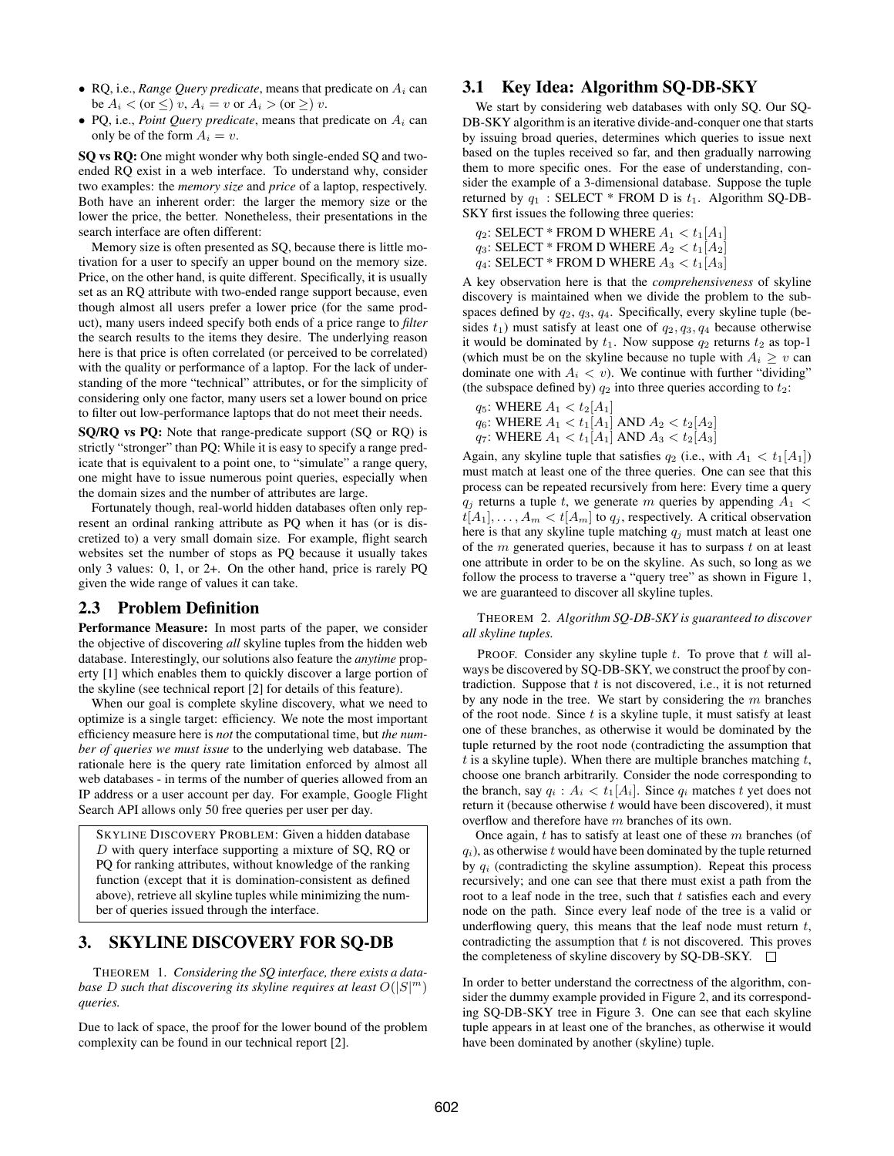- RQ, i.e., *Range Query predicate*, means that predicate on  $A_i$  can be  $A_i <$  (or  $\leq$ ) v,  $A_i = v$  or  $A_i >$  (or  $\geq$ ) v.
- PQ, i.e., *Point Query predicate*, means that predicate on  $A_i$  can only be of the form  $A_i = v$ .

SQ vs RQ: One might wonder why both single-ended SQ and twoended RQ exist in a web interface. To understand why, consider two examples: the *memory size* and *price* of a laptop, respectively. Both have an inherent order: the larger the memory size or the lower the price, the better. Nonetheless, their presentations in the search interface are often different:

Memory size is often presented as SQ, because there is little motivation for a user to specify an upper bound on the memory size. Price, on the other hand, is quite different. Specifically, it is usually set as an RQ attribute with two-ended range support because, even though almost all users prefer a lower price (for the same product), many users indeed specify both ends of a price range to *filter* the search results to the items they desire. The underlying reason here is that price is often correlated (or perceived to be correlated) with the quality or performance of a laptop. For the lack of understanding of the more "technical" attributes, or for the simplicity of considering only one factor, many users set a lower bound on price to filter out low-performance laptops that do not meet their needs.

SQ/RQ vs PQ: Note that range-predicate support (SQ or RQ) is strictly "stronger" than PQ: While it is easy to specify a range predicate that is equivalent to a point one, to "simulate" a range query, one might have to issue numerous point queries, especially when the domain sizes and the number of attributes are large.

Fortunately though, real-world hidden databases often only represent an ordinal ranking attribute as PQ when it has (or is discretized to) a very small domain size. For example, flight search websites set the number of stops as PQ because it usually takes only 3 values: 0, 1, or 2+. On the other hand, price is rarely PQ given the wide range of values it can take.

### 2.3 Problem Definition

Performance Measure: In most parts of the paper, we consider the objective of discovering *all* skyline tuples from the hidden web database. Interestingly, our solutions also feature the *anytime* property [1] which enables them to quickly discover a large portion of the skyline (see technical report [2] for details of this feature).

When our goal is complete skyline discovery, what we need to optimize is a single target: efficiency. We note the most important efficiency measure here is *not* the computational time, but *the number of queries we must issue* to the underlying web database. The rationale here is the query rate limitation enforced by almost all web databases - in terms of the number of queries allowed from an IP address or a user account per day. For example, Google Flight Search API allows only 50 free queries per user per day.

SKYLINE DISCOVERY PROBLEM: Given a hidden database D with query interface supporting a mixture of SQ, RQ or PQ for ranking attributes, without knowledge of the ranking function (except that it is domination-consistent as defined above), retrieve all skyline tuples while minimizing the number of queries issued through the interface.

# 3. SKYLINE DISCOVERY FOR SQ-DB

THEOREM 1. *Considering the SQ interface, there exists a database* D such that discovering its skyline requires at least  $O(|S|^{m})$ *queries.*

Due to lack of space, the proof for the lower bound of the problem complexity can be found in our technical report [2].

# 3.1 Key Idea: Algorithm SQ-DB-SKY

We start by considering web databases with only SQ. Our SQ-DB-SKY algorithm is an iterative divide-and-conquer one that starts by issuing broad queries, determines which queries to issue next based on the tuples received so far, and then gradually narrowing them to more specific ones. For the ease of understanding, consider the example of a 3-dimensional database. Suppose the tuple returned by  $q_1$ : SELECT \* FROM D is  $t_1$ . Algorithm SQ-DB-SKY first issues the following three queries:

 $q_2$ : SELECT \* FROM D WHERE  $A_1 < t_1[A_1]$  $q_3$ : SELECT \* FROM D WHERE  $A_2 < t_1[A_2]$ 

 $q_4$ : SELECT \* FROM D WHERE  $A_3 < t_1[A_3]$ 

A key observation here is that the *comprehensiveness* of skyline discovery is maintained when we divide the problem to the subspaces defined by  $q_2$ ,  $q_3$ ,  $q_4$ . Specifically, every skyline tuple (besides  $t_1$ ) must satisfy at least one of  $q_2, q_3, q_4$  because otherwise it would be dominated by  $t_1$ . Now suppose  $q_2$  returns  $t_2$  as top-1 (which must be on the skyline because no tuple with  $A_i \geq v$  can dominate one with  $A_i < v$ ). We continue with further "dividing" (the subspace defined by)  $q_2$  into three queries according to  $t_2$ :

 $q_5$ : WHERE  $A_1 < t_2[A_1]$  $q_6$ : WHERE  $A_1 < t_1[A_1]$  AND  $A_2 < t_2[A_2]$  $q_7$ : WHERE  $A_1 < t_1[A_1]$  AND  $A_3 < t_2[A_3]$ 

Again, any skyline tuple that satisfies  $q_2$  (i.e., with  $A_1 < t_1[A_1]$ ) must match at least one of the three queries. One can see that this process can be repeated recursively from here: Every time a query  $q_j$  returns a tuple t, we generate m queries by appending  $A_1$  <  $t[A_1], \ldots, A_m < t[A_m]$  to  $q_j$ , respectively. A critical observation here is that any skyline tuple matching  $q_i$  must match at least one of the  $m$  generated queries, because it has to surpass  $t$  on at least one attribute in order to be on the skyline. As such, so long as we follow the process to traverse a "query tree" as shown in Figure 1, we are guaranteed to discover all skyline tuples.

THEOREM 2. *Algorithm SQ-DB-SKY is guaranteed to discover all skyline tuples.*

PROOF. Consider any skyline tuple  $t$ . To prove that  $t$  will always be discovered by SQ-DB-SKY, we construct the proof by contradiction. Suppose that  $t$  is not discovered, i.e., it is not returned by any node in the tree. We start by considering the  $m$  branches of the root node. Since  $t$  is a skyline tuple, it must satisfy at least one of these branches, as otherwise it would be dominated by the tuple returned by the root node (contradicting the assumption that  $t$  is a skyline tuple). When there are multiple branches matching  $t$ , choose one branch arbitrarily. Consider the node corresponding to the branch, say  $q_i$ :  $A_i < t_1[A_i]$ . Since  $q_i$  matches t yet does not return it (because otherwise  $t$  would have been discovered), it must overflow and therefore have m branches of its own.

Once again,  $t$  has to satisfy at least one of these  $m$  branches (of  $q_i$ ), as otherwise t would have been dominated by the tuple returned by  $q_i$  (contradicting the skyline assumption). Repeat this process recursively; and one can see that there must exist a path from the root to a leaf node in the tree, such that  $t$  satisfies each and every node on the path. Since every leaf node of the tree is a valid or underflowing query, this means that the leaf node must return  $t$ , contradicting the assumption that  $t$  is not discovered. This proves the completeness of skyline discovery by SQ-DB-SKY.  $\Box$ 

In order to better understand the correctness of the algorithm, consider the dummy example provided in Figure 2, and its corresponding SQ-DB-SKY tree in Figure 3. One can see that each skyline tuple appears in at least one of the branches, as otherwise it would have been dominated by another (skyline) tuple.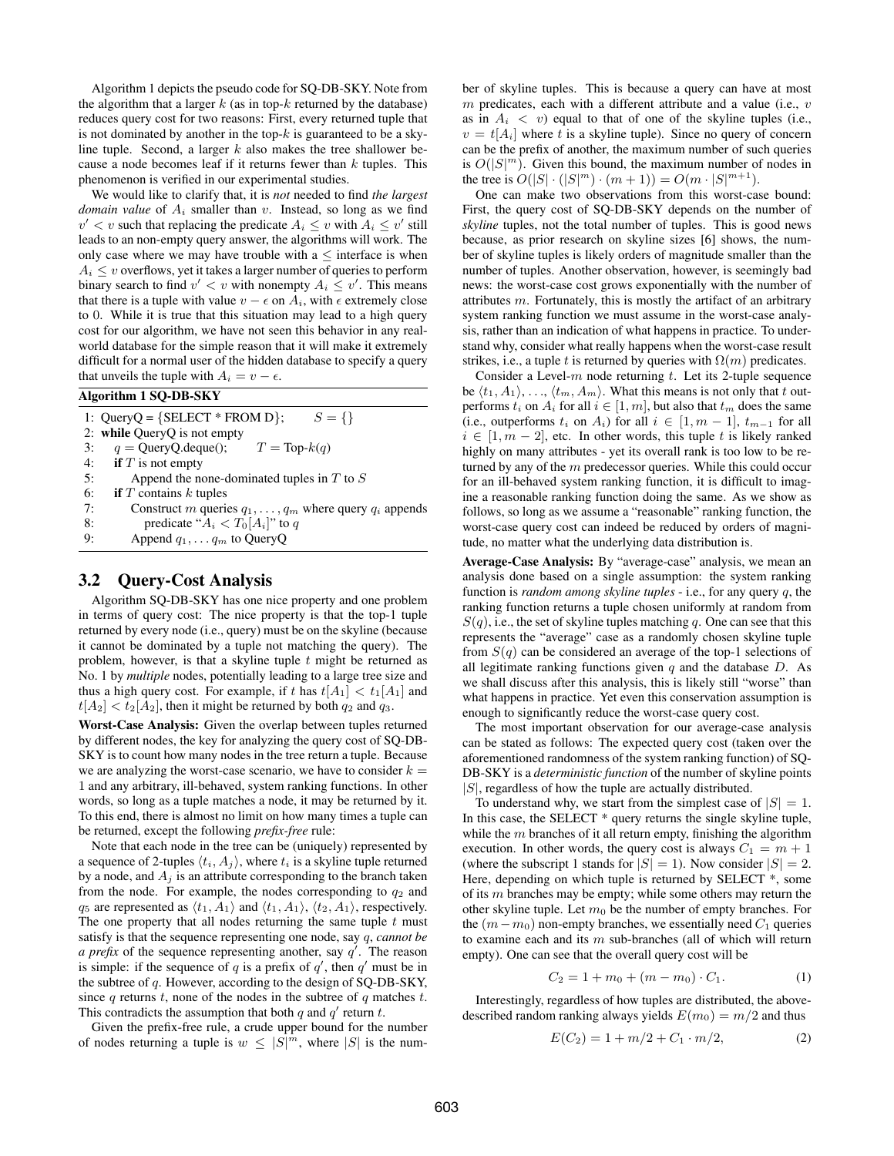Algorithm 1 depicts the pseudo code for SQ-DB-SKY. Note from the algorithm that a larger  $k$  (as in top- $k$  returned by the database) reduces query cost for two reasons: First, every returned tuple that is not dominated by another in the top- $k$  is guaranteed to be a skyline tuple. Second, a larger  $k$  also makes the tree shallower because a node becomes leaf if it returns fewer than  $k$  tuples. This phenomenon is verified in our experimental studies.

We would like to clarify that, it is *not* needed to find *the largest domain value* of  $A_i$  smaller than  $v$ . Instead, so long as we find  $v' < v$  such that replacing the predicate  $A_i \leq v$  with  $A_i \leq v'$  still leads to an non-empty query answer, the algorithms will work. The only case where we may have trouble with a  $\leq$  interface is when  $A_i \leq v$  overflows, yet it takes a larger number of queries to perform binary search to find  $v' < v$  with nonempty  $A_i \leq v'$ . This means that there is a tuple with value  $v - \epsilon$  on  $A_i$ , with  $\epsilon$  extremely close to 0. While it is true that this situation may lead to a high query cost for our algorithm, we have not seen this behavior in any realworld database for the simple reason that it will make it extremely difficult for a normal user of the hidden database to specify a query that unveils the tuple with  $A_i = v - \epsilon$ .

#### Algorithm 1 SQ-DB-SKY

1: QueryQ = {SELECT \* FROM D};  $S = \{\}$ 2: while QueryQ is not empty 3:  $q = \text{QueryQ}\text{.deque}$ ;  $T = \text{Top-}k(q)$ 4: if  $T$  is not empty 5: Append the none-dominated tuples in  $T$  to  $S$ 6: if  $T$  contains  $k$  tuples 7: Construct m queries  $q_1, \ldots, q_m$  where query  $q_i$  appends 8: predicate " $A_i < T_0[A_i]$ " to q 9: Append  $q_1, \ldots q_m$  to QueryQ

#### 3.2 Query-Cost Analysis

Algorithm SQ-DB-SKY has one nice property and one problem in terms of query cost: The nice property is that the top-1 tuple returned by every node (i.e., query) must be on the skyline (because it cannot be dominated by a tuple not matching the query). The problem, however, is that a skyline tuple  $t$  might be returned as No. 1 by *multiple* nodes, potentially leading to a large tree size and thus a high query cost. For example, if t has  $t[A_1] < t_1[A_1]$  and  $t[A_2] < t_2[A_2]$ , then it might be returned by both  $q_2$  and  $q_3$ .

Worst-Case Analysis: Given the overlap between tuples returned by different nodes, the key for analyzing the query cost of SQ-DB-SKY is to count how many nodes in the tree return a tuple. Because we are analyzing the worst-case scenario, we have to consider  $k =$ 1 and any arbitrary, ill-behaved, system ranking functions. In other words, so long as a tuple matches a node, it may be returned by it. To this end, there is almost no limit on how many times a tuple can be returned, except the following *prefix-free* rule:

Note that each node in the tree can be (uniquely) represented by a sequence of 2-tuples  $\langle t_i, A_j \rangle$ , where  $t_i$  is a skyline tuple returned by a node, and  $A_i$  is an attribute corresponding to the branch taken from the node. For example, the nodes corresponding to  $q_2$  and  $q_5$  are represented as  $\langle t_1, A_1 \rangle$  and  $\langle t_1, A_1 \rangle$ ,  $\langle t_2, A_1 \rangle$ , respectively. The one property that all nodes returning the same tuple  $t$  must satisfy is that the sequence representing one node, say q, *cannot be a prefix* of the sequence representing another, say  $q'$ . The reason is simple: if the sequence of q is a prefix of  $q'$ , then  $q'$  must be in the subtree of q. However, according to the design of SQ-DB-SKY, since q returns t, none of the nodes in the subtree of q matches t. This contradicts the assumption that both q and  $q'$  return t.

Given the prefix-free rule, a crude upper bound for the number of nodes returning a tuple is  $w \leq |S|^m$ , where |S| is the number of skyline tuples. This is because a query can have at most  $m$  predicates, each with a different attribute and a value (i.e.,  $v$ ) as in  $A_i < v$ ) equal to that of one of the skyline tuples (i.e.,  $v = t[A_i]$  where t is a skyline tuple). Since no query of concern can be the prefix of another, the maximum number of such queries is  $O(|S|^m)$ . Given this bound, the maximum number of nodes in the tree is  $O(|S| \cdot (|S|^m) \cdot (m+1)) = O(m \cdot |S|^{m+1}).$ 

One can make two observations from this worst-case bound: First, the query cost of SQ-DB-SKY depends on the number of *skyline* tuples, not the total number of tuples. This is good news because, as prior research on skyline sizes [6] shows, the number of skyline tuples is likely orders of magnitude smaller than the number of tuples. Another observation, however, is seemingly bad news: the worst-case cost grows exponentially with the number of attributes  $m$ . Fortunately, this is mostly the artifact of an arbitrary system ranking function we must assume in the worst-case analysis, rather than an indication of what happens in practice. To understand why, consider what really happens when the worst-case result strikes, i.e., a tuple t is returned by queries with  $\Omega(m)$  predicates.

Consider a Level- $m$  node returning  $t$ . Let its 2-tuple sequence be  $\langle t_1, A_1 \rangle, \ldots, \langle t_m, A_m \rangle$ . What this means is not only that t outperforms  $t_i$  on  $A_i$  for all  $i \in [1, m]$ , but also that  $t_m$  does the same (i.e., outperforms  $t_i$  on  $A_i$ ) for all  $i \in [1, m - 1]$ ,  $t_{m-1}$  for all  $i \in [1, m - 2]$ , etc. In other words, this tuple t is likely ranked highly on many attributes - yet its overall rank is too low to be returned by any of the  $m$  predecessor queries. While this could occur for an ill-behaved system ranking function, it is difficult to imagine a reasonable ranking function doing the same. As we show as follows, so long as we assume a "reasonable" ranking function, the worst-case query cost can indeed be reduced by orders of magnitude, no matter what the underlying data distribution is.

Average-Case Analysis: By "average-case" analysis, we mean an analysis done based on a single assumption: the system ranking function is *random among skyline tuples* - i.e., for any query q, the ranking function returns a tuple chosen uniformly at random from  $S(q)$ , i.e., the set of skyline tuples matching q. One can see that this represents the "average" case as a randomly chosen skyline tuple from  $S(q)$  can be considered an average of the top-1 selections of all legitimate ranking functions given  $q$  and the database  $D$ . As we shall discuss after this analysis, this is likely still "worse" than what happens in practice. Yet even this conservation assumption is enough to significantly reduce the worst-case query cost.

The most important observation for our average-case analysis can be stated as follows: The expected query cost (taken over the aforementioned randomness of the system ranking function) of SQ-DB-SKY is a *deterministic function* of the number of skyline points  $|S|$ , regardless of how the tuple are actually distributed.

To understand why, we start from the simplest case of  $|S| = 1$ . In this case, the SELECT \* query returns the single skyline tuple, while the  $m$  branches of it all return empty, finishing the algorithm execution. In other words, the query cost is always  $C_1 = m + 1$ (where the subscript 1 stands for  $|S| = 1$ ). Now consider  $|S| = 2$ . Here, depending on which tuple is returned by SELECT \*, some of its  $m$  branches may be empty; while some others may return the other skyline tuple. Let  $m_0$  be the number of empty branches. For the  $(m-m_0)$  non-empty branches, we essentially need  $C_1$  queries to examine each and its  $m$  sub-branches (all of which will return empty). One can see that the overall query cost will be

$$
C_2 = 1 + m_0 + (m - m_0) \cdot C_1. \tag{1}
$$

Interestingly, regardless of how tuples are distributed, the abovedescribed random ranking always yields  $E(m_0) = m/2$  and thus

$$
E(C_2) = 1 + m/2 + C_1 \cdot m/2, \tag{2}
$$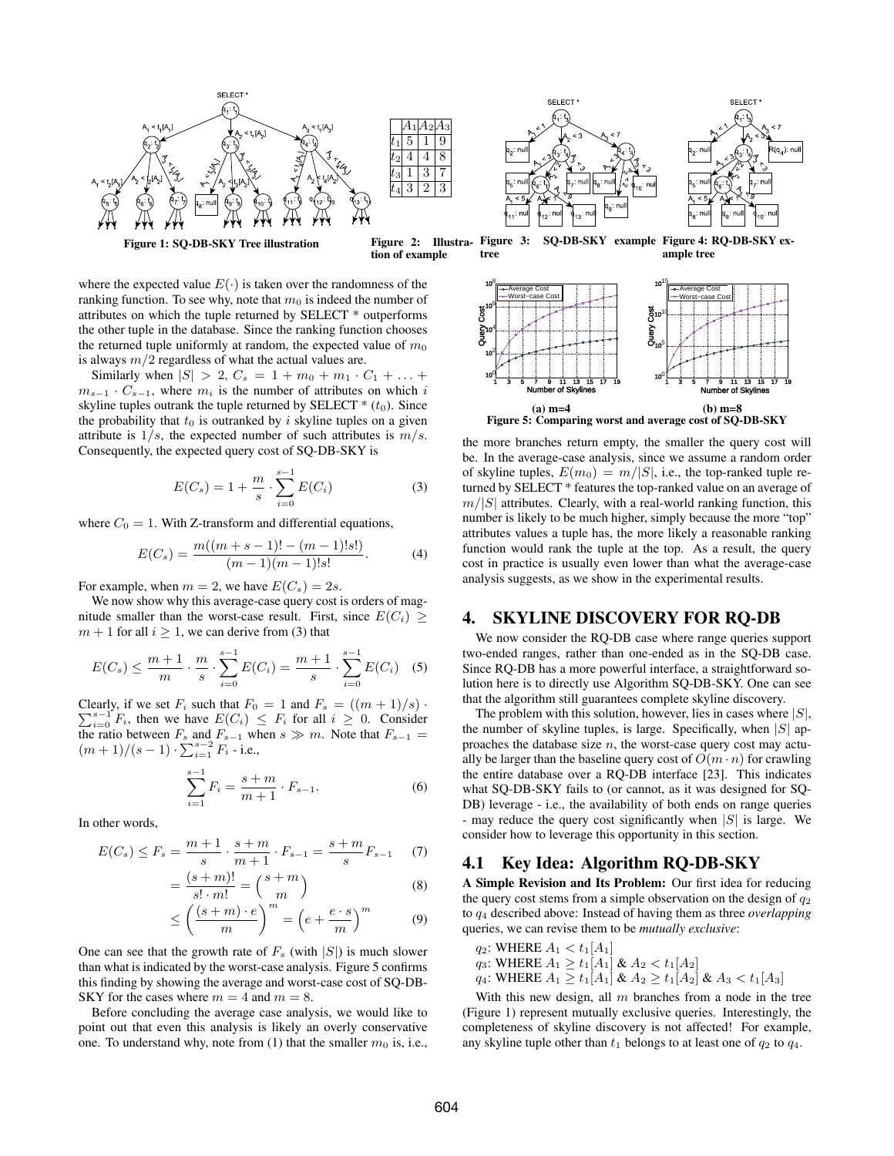

Figure 1: SQ-DB-SKY Tree illustration

 $A_1A_2A_3$  $t_1 | \, 5 \mid 1 \mid 9$  $4 | 4 | 8$  $3 \mid 7$  $t_4 \vert \ 3 \ \vert \ 2 \ \vert \ 3$ 





tree

Figure 3: SQ-DB-SKY example Figure 4: RQ-DB-SKY ex-

ample tree

where the expected value  $E(\cdot)$  is taken over the randomness of the ranking function. To see why, note that  $m_0$  is indeed the number of attributes on which the tuple returned by SELECT \* outperforms the other tuple in the database. Since the ranking function chooses the returned tuple uniformly at random, the expected value of  $m_0$ is always  $m/2$  regardless of what the actual values are.

Similarly when  $|S| > 2$ ,  $C_s = 1 + m_0 + m_1 \cdot C_1 + ...$  $m_{s-1}$  ·  $C_{s-1}$ , where  $m_i$  is the number of attributes on which i skyline tuples outrank the tuple returned by SELECT  $*(t_0)$ . Since the probability that  $t_0$  is outranked by i skyline tuples on a given attribute is  $1/s$ , the expected number of such attributes is  $m/s$ . Consequently, the expected query cost of SQ-DB-SKY is

$$
E(C_s) = 1 + \frac{m}{s} \cdot \sum_{i=0}^{s-1} E(C_i)
$$
 (3)

where  $C_0 = 1$ . With Z-transform and differential equations,

$$
E(C_s) = \frac{m((m+s-1)! - (m-1)!s!)}{(m-1)(m-1)!s!}.
$$
 (4)

For example, when  $m = 2$ , we have  $E(C_s) = 2s$ .

We now show why this average-case query cost is orders of magnitude smaller than the worst-case result. First, since  $E(C_i)$  $m + 1$  for all  $i > 1$ , we can derive from (3) that

$$
E(C_s) \le \frac{m+1}{m} \cdot \frac{m}{s} \cdot \sum_{i=0}^{s-1} E(C_i) = \frac{m+1}{s} \cdot \sum_{i=0}^{s-1} E(C_i) \quad (5)
$$

Clearly, if we set  $F_i$  such that  $F_0 = 1$  and  $F_s = ((m + 1)/s)$ .  $\sum_{i=0}^{s-1} F_i$ , then we have  $E(C_i) \leq F_i$  for all  $i \geq 0$ . Consider the ratio between  $F_s$  and  $F_{s-1}$  when  $s \gg m$ . Note that  $F_{s-1}$  =  $(m+1)/(s-1)\cdot \sum_{i=1}^{s-2} F_i$  - i.e.,

$$
\sum_{i=1}^{s-1} F_i = \frac{s+m}{m+1} \cdot F_{s-1}.
$$
 (6)

In other words,

$$
E(C_s) \le F_s = \frac{m+1}{s} \cdot \frac{s+m}{m+1} \cdot F_{s-1} = \frac{s+m}{s} F_{s-1} \tag{7}
$$

$$
=\frac{(s+m)!}{s!\cdot m!} = \binom{s+m}{m} \tag{8}
$$

$$
\leq \left(\frac{(s+m)\cdot e}{m}\right)^m = \left(e + \frac{e\cdot s}{m}\right)^m \tag{9}
$$

One can see that the growth rate of  $F_s$  (with  $|S|$ ) is much slower than what is indicated by the worst-case analysis. Figure 5 confirms this finding by showing the average and worst-case cost of SQ-DB-SKY for the cases where  $m = 4$  and  $m = 8$ .

Before concluding the average case analysis, we would like to point out that even this analysis is likely an overly conservative one. To understand why, note from (1) that the smaller  $m_0$  is, i.e.,



the more branches return empty, the smaller the query cost will be. In the average-case analysis, since we assume a random order of skyline tuples,  $E(m_0) = m/|S|$ , i.e., the top-ranked tuple returned by SELECT \* features the top-ranked value on an average of  $m/|S|$  attributes. Clearly, with a real-world ranking function, this number is likely to be much higher, simply because the more "top" attributes values a tuple has, the more likely a reasonable ranking function would rank the tuple at the top. As a result, the query cost in practice is usually even lower than what the average-case analysis suggests, as we show in the experimental results.

#### 4. SKYLINE DISCOVERY FOR RQ-DB

We now consider the RQ-DB case where range queries support two-ended ranges, rather than one-ended as in the SQ-DB case. Since RQ-DB has a more powerful interface, a straightforward solution here is to directly use Algorithm SQ-DB-SKY. One can see that the algorithm still guarantees complete skyline discovery.

The problem with this solution, however, lies in cases where  $|S|$ , the number of skyline tuples, is large. Specifically, when  $|S|$  approaches the database size  $n$ , the worst-case query cost may actually be larger than the baseline query cost of  $O(m \cdot n)$  for crawling the entire database over a RQ-DB interface [23]. This indicates what SQ-DB-SKY fails to (or cannot, as it was designed for SQ-DB) leverage - i.e., the availability of both ends on range queries - may reduce the query cost significantly when  $|S|$  is large. We consider how to leverage this opportunity in this section.

# 4.1 Key Idea: Algorithm RQ-DB-SKY

A Simple Revision and Its Problem: Our first idea for reducing the query cost stems from a simple observation on the design of  $q_2$ to q<sup>4</sup> described above: Instead of having them as three *overlapping* queries, we can revise them to be *mutually exclusive*:

$$
q_2
$$
: WHERE  $A_1 < t_1[A_1]$ 

- $q_3$ : WHERE  $A_1 \ge t_1[A_1]$  &  $A_2 < t_1[A_2]$
- q<sub>4</sub>: WHERE  $A_1 \ge t_1[A_1] \& A_2 \ge t_1[A_2] \& A_3 < t_1[A_3]$

With this new design, all  $m$  branches from a node in the tree (Figure 1) represent mutually exclusive queries. Interestingly, the completeness of skyline discovery is not affected! For example, any skyline tuple other than  $t_1$  belongs to at least one of  $q_2$  to  $q_4$ .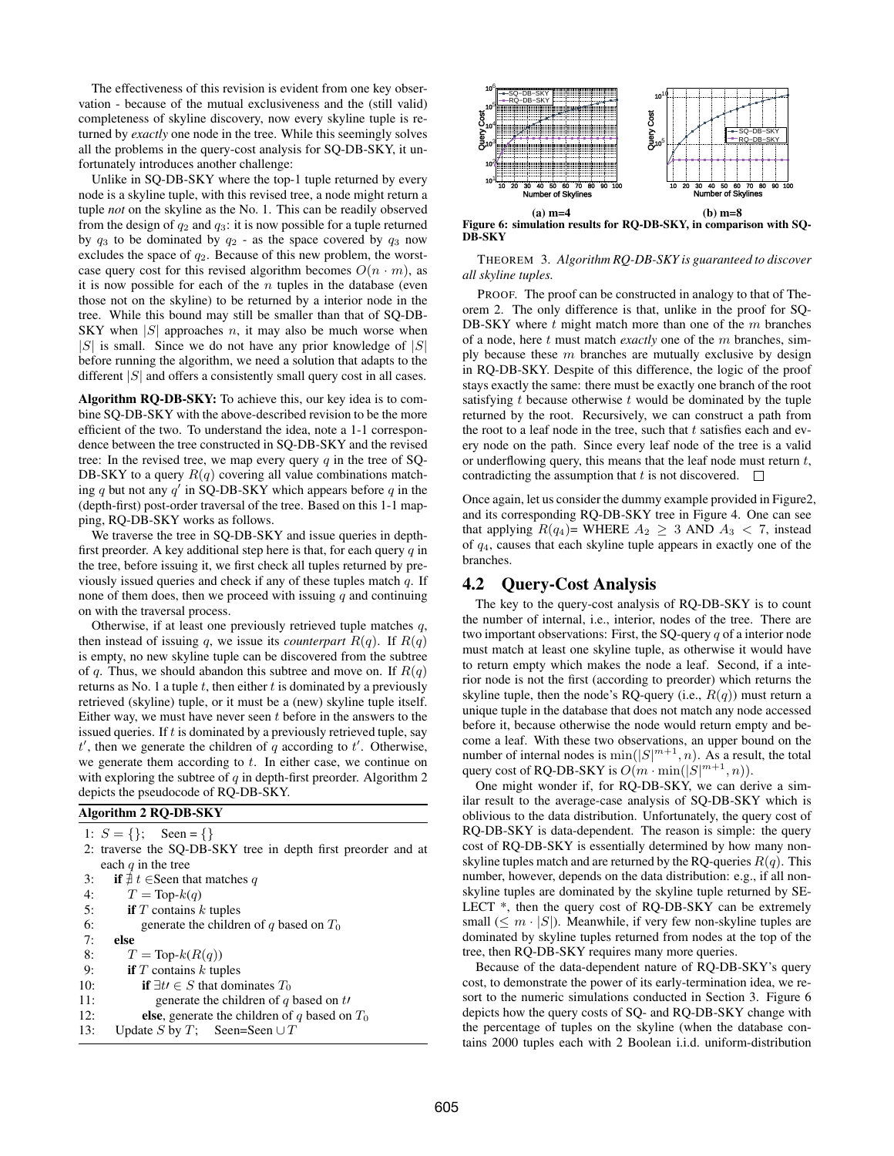The effectiveness of this revision is evident from one key observation - because of the mutual exclusiveness and the (still valid) completeness of skyline discovery, now every skyline tuple is returned by *exactly* one node in the tree. While this seemingly solves all the problems in the query-cost analysis for SQ-DB-SKY, it unfortunately introduces another challenge:

Unlike in SQ-DB-SKY where the top-1 tuple returned by every node is a skyline tuple, with this revised tree, a node might return a tuple *not* on the skyline as the No. 1. This can be readily observed from the design of  $q_2$  and  $q_3$ : it is now possible for a tuple returned by  $q_3$  to be dominated by  $q_2$  - as the space covered by  $q_3$  now excludes the space of  $q_2$ . Because of this new problem, the worstcase query cost for this revised algorithm becomes  $O(n \cdot m)$ , as it is now possible for each of the  $n$  tuples in the database (even those not on the skyline) to be returned by a interior node in the tree. While this bound may still be smaller than that of SQ-DB-SKY when  $|S|$  approaches n, it may also be much worse when  $|S|$  is small. Since we do not have any prior knowledge of  $|S|$ before running the algorithm, we need a solution that adapts to the different  $|S|$  and offers a consistently small query cost in all cases.

Algorithm RQ-DB-SKY: To achieve this, our key idea is to combine SQ-DB-SKY with the above-described revision to be the more efficient of the two. To understand the idea, note a 1-1 correspondence between the tree constructed in SQ-DB-SKY and the revised tree: In the revised tree, we map every query  $q$  in the tree of SQ-DB-SKY to a query  $R(q)$  covering all value combinations matching q but not any  $q'$  in SQ-DB-SKY which appears before q in the (depth-first) post-order traversal of the tree. Based on this 1-1 mapping, RQ-DB-SKY works as follows.

We traverse the tree in SQ-DB-SKY and issue queries in depthfirst preorder. A key additional step here is that, for each query  $q$  in the tree, before issuing it, we first check all tuples returned by previously issued queries and check if any of these tuples match  $q$ . If none of them does, then we proceed with issuing  $q$  and continuing on with the traversal process.

Otherwise, if at least one previously retrieved tuple matches  $q$ , then instead of issuing q, we issue its *counterpart*  $R(q)$ . If  $R(q)$ is empty, no new skyline tuple can be discovered from the subtree of q. Thus, we should abandon this subtree and move on. If  $R(q)$ returns as No. 1 a tuple  $t$ , then either  $t$  is dominated by a previously retrieved (skyline) tuple, or it must be a (new) skyline tuple itself. Either way, we must have never seen  $t$  before in the answers to the issued queries. If  $t$  is dominated by a previously retrieved tuple, say  $t'$ , then we generate the children of q according to  $t'$ . Otherwise, we generate them according to  $t$ . In either case, we continue on with exploring the subtree of  $q$  in depth-first preorder. Algorithm 2 depicts the pseudocode of RQ-DB-SKY.

#### Algorithm 2 RQ-DB-SKY

1:  $S = \{\};$  Seen =  $\{\}$ 2: traverse the SQ-DB-SKY tree in depth first preorder and at each  $q$  in the tree 3: if  $\nexists$  *t* ∈Seen that matches q 4:  $T = \text{Top-}k(q)$ 5: if  $T$  contains  $k$  tuples 6: generate the children of q based on  $T_0$ 7: else 8:  $T = \text{Top-}k(R(q))$ 9: **if**  $T$  contains  $k$  tuples 10: **if**  $\exists t \in S$  that dominates  $T_0$ 11: generate the children of  $q$  based on  $t$ 12: **else**, generate the children of q based on  $T_0$ 13: Update S by T; Seen=Seen  $\cup T$ 



Figure 6: simulation results for RQ-DB-SKY, in comparison with SQ-DB-SKY

THEOREM 3. *Algorithm RQ-DB-SKY is guaranteed to discover all skyline tuples.*

PROOF. The proof can be constructed in analogy to that of Theorem 2. The only difference is that, unlike in the proof for SQ-DB-SKY where  $t$  might match more than one of the  $m$  branches of a node, here t must match *exactly* one of the m branches, simply because these  $m$  branches are mutually exclusive by design in RQ-DB-SKY. Despite of this difference, the logic of the proof stays exactly the same: there must be exactly one branch of the root satisfying  $t$  because otherwise  $t$  would be dominated by the tuple returned by the root. Recursively, we can construct a path from the root to a leaf node in the tree, such that  $t$  satisfies each and every node on the path. Since every leaf node of the tree is a valid or underflowing query, this means that the leaf node must return  $t$ , contradicting the assumption that t is not discovered.  $\square$ 

Once again, let us consider the dummy example provided in Figure2, and its corresponding RQ-DB-SKY tree in Figure 4. One can see that applying  $R(q_4)$ = WHERE  $A_2 \geq 3$  AND  $A_3 < 7$ , instead of q4, causes that each skyline tuple appears in exactly one of the branches.

# 4.2 Query-Cost Analysis

The key to the query-cost analysis of RQ-DB-SKY is to count the number of internal, i.e., interior, nodes of the tree. There are two important observations: First, the SQ-query  $q$  of a interior node must match at least one skyline tuple, as otherwise it would have to return empty which makes the node a leaf. Second, if a interior node is not the first (according to preorder) which returns the skyline tuple, then the node's RQ-query (i.e.,  $R(q)$ ) must return a unique tuple in the database that does not match any node accessed before it, because otherwise the node would return empty and become a leaf. With these two observations, an upper bound on the number of internal nodes is  $\min(|S|^{m+1}, n)$ . As a result, the total query cost of RQ-DB-SKY is  $O(m \cdot \min(|S|^{m+1}, n))$ .

One might wonder if, for RQ-DB-SKY, we can derive a similar result to the average-case analysis of SQ-DB-SKY which is oblivious to the data distribution. Unfortunately, the query cost of RQ-DB-SKY is data-dependent. The reason is simple: the query cost of RQ-DB-SKY is essentially determined by how many nonskyline tuples match and are returned by the RQ-queries  $R(q)$ . This number, however, depends on the data distribution: e.g., if all nonskyline tuples are dominated by the skyline tuple returned by SE-LECT \*, then the query cost of RQ-DB-SKY can be extremely small  $(\leq m \cdot |S|)$ . Meanwhile, if very few non-skyline tuples are dominated by skyline tuples returned from nodes at the top of the tree, then RQ-DB-SKY requires many more queries.

Because of the data-dependent nature of RQ-DB-SKY's query cost, to demonstrate the power of its early-termination idea, we resort to the numeric simulations conducted in Section 3. Figure 6 depicts how the query costs of SQ- and RQ-DB-SKY change with the percentage of tuples on the skyline (when the database contains 2000 tuples each with 2 Boolean i.i.d. uniform-distribution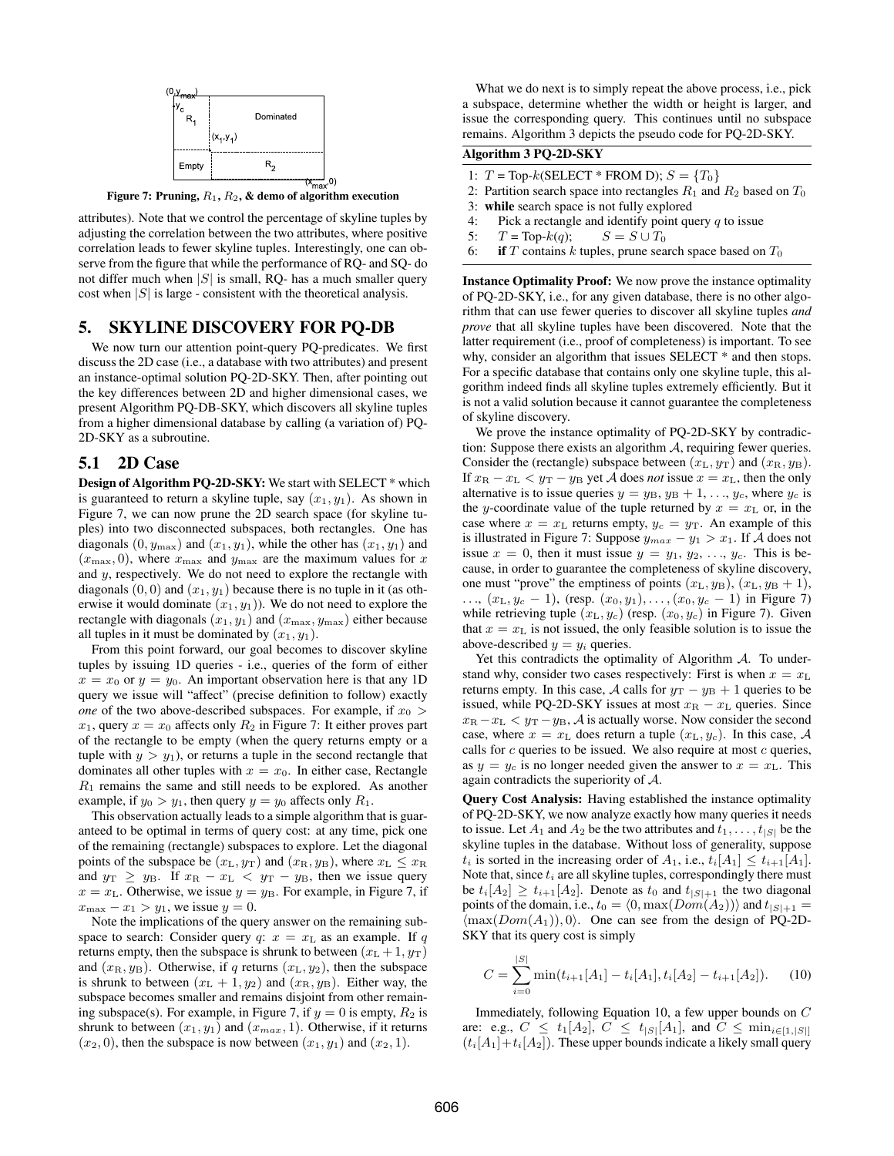

Figure 7: Pruning,  $R_1$ ,  $R_2$ , & demo of algorithm execution

attributes). Note that we control the percentage of skyline tuples by adjusting the correlation between the two attributes, where positive correlation leads to fewer skyline tuples. Interestingly, one can observe from the figure that while the performance of RQ- and SQ- do not differ much when  $|S|$  is small, RQ- has a much smaller query cost when  $|S|$  is large - consistent with the theoretical analysis.

#### 5. SKYLINE DISCOVERY FOR PQ-DB

We now turn our attention point-query PQ-predicates. We first discuss the 2D case (i.e., a database with two attributes) and present an instance-optimal solution PQ-2D-SKY. Then, after pointing out the key differences between 2D and higher dimensional cases, we present Algorithm PQ-DB-SKY, which discovers all skyline tuples from a higher dimensional database by calling (a variation of) PQ-2D-SKY as a subroutine.

#### 5.1 2D Case

Design of Algorithm PQ-2D-SKY: We start with SELECT \* which is guaranteed to return a skyline tuple, say  $(x_1, y_1)$ . As shown in Figure 7, we can now prune the 2D search space (for skyline tuples) into two disconnected subspaces, both rectangles. One has diagonals  $(0, y_{\text{max}})$  and  $(x_1, y_1)$ , while the other has  $(x_1, y_1)$  and  $(x_{\text{max}}, 0)$ , where  $x_{\text{max}}$  and  $y_{\text{max}}$  are the maximum values for x and  $y$ , respectively. We do not need to explore the rectangle with diagonals  $(0, 0)$  and  $(x_1, y_1)$  because there is no tuple in it (as otherwise it would dominate  $(x_1, y_1)$ ). We do not need to explore the rectangle with diagonals  $(x_1, y_1)$  and  $(x_{\text{max}}, y_{\text{max}})$  either because all tuples in it must be dominated by  $(x_1, y_1)$ .

From this point forward, our goal becomes to discover skyline tuples by issuing 1D queries - i.e., queries of the form of either  $x = x_0$  or  $y = y_0$ . An important observation here is that any 1D query we issue will "affect" (precise definition to follow) exactly *one* of the two above-described subspaces. For example, if  $x_0$  >  $x_1$ , query  $x = x_0$  affects only  $R_2$  in Figure 7: It either proves part of the rectangle to be empty (when the query returns empty or a tuple with  $y > y_1$ ), or returns a tuple in the second rectangle that dominates all other tuples with  $x = x_0$ . In either case, Rectangle  $R_1$  remains the same and still needs to be explored. As another example, if  $y_0 > y_1$ , then query  $y = y_0$  affects only  $R_1$ .

This observation actually leads to a simple algorithm that is guaranteed to be optimal in terms of query cost: at any time, pick one of the remaining (rectangle) subspaces to explore. Let the diagonal points of the subspace be  $(x_L, y_T)$  and  $(x_R, y_B)$ , where  $x_L \leq x_R$ and  $y_T \ge y_B$ . If  $x_R - x_L < y_T - y_B$ , then we issue query  $x = x_L$ . Otherwise, we issue  $y = y_B$ . For example, in Figure 7, if  $x_{\text{max}} - x_1 > y_1$ , we issue  $y = 0$ .

Note the implications of the query answer on the remaining subspace to search: Consider query  $q: x = x_L$  as an example. If q returns empty, then the subspace is shrunk to between  $(x_L + 1, y_T)$ and  $(x_R, y_B)$ . Otherwise, if q returns  $(x_L, y_2)$ , then the subspace is shrunk to between  $(x_L + 1, y_2)$  and  $(x_R, y_B)$ . Either way, the subspace becomes smaller and remains disjoint from other remaining subspace(s). For example, in Figure 7, if  $y = 0$  is empty,  $R_2$  is shrunk to between  $(x_1, y_1)$  and  $(x_{max}, 1)$ . Otherwise, if it returns  $(x_2, 0)$ , then the subspace is now between  $(x_1, y_1)$  and  $(x_2, 1)$ .

What we do next is to simply repeat the above process, i.e., pick a subspace, determine whether the width or height is larger, and issue the corresponding query. This continues until no subspace remains. Algorithm 3 depicts the pseudo code for PQ-2D-SKY.

#### Algorithm 3 PQ-2D-SKY

- 1:  $T = \text{Top-}k(\text{SELECT * FROM D}); S = \{T_0\}$
- 2: Partition search space into rectangles  $R_1$  and  $R_2$  based on  $T_0$
- 3: while search space is not fully explored
- 4: Pick a rectangle and identify point query  $q$  to issue
- 5:  $T = \text{Top-}k(q);$   $S = S \cup T_0$
- 6: if T contains k tuples, prune search space based on  $T_0$

Instance Optimality Proof: We now prove the instance optimality of PQ-2D-SKY, i.e., for any given database, there is no other algorithm that can use fewer queries to discover all skyline tuples *and prove* that all skyline tuples have been discovered. Note that the latter requirement (i.e., proof of completeness) is important. To see why, consider an algorithm that issues SELECT  $*$  and then stops. For a specific database that contains only one skyline tuple, this algorithm indeed finds all skyline tuples extremely efficiently. But it is not a valid solution because it cannot guarantee the completeness of skyline discovery.

We prove the instance optimality of PQ-2D-SKY by contradiction: Suppose there exists an algorithm  $A$ , requiring fewer queries. Consider the (rectangle) subspace between  $(x_L, y_T)$  and  $(x_R, y_B)$ . If  $x_R - x_L < y_T - y_B$  yet A does *not* issue  $x = x_L$ , then the only alternative is to issue queries  $y = y_B$ ,  $y_B + 1$ , ...,  $y_c$ , where  $y_c$  is the y-coordinate value of the tuple returned by  $x = x_L$  or, in the case where  $x = x_L$  returns empty,  $y_c = y_T$ . An example of this is illustrated in Figure 7: Suppose  $y_{max} - y_1 > x_1$ . If A does not issue  $x = 0$ , then it must issue  $y = y_1, y_2, \ldots, y_c$ . This is because, in order to guarantee the completeness of skyline discovery, one must "prove" the emptiness of points  $(x_L, y_B)$ ,  $(x_L, y_B + 1)$ , ...,  $(x_L, y_c - 1)$ , (resp.  $(x_0, y_1), \ldots, (x_0, y_c - 1)$  in Figure 7) while retrieving tuple  $(x_L, y_c)$  (resp.  $(x_0, y_c)$  in Figure 7). Given that  $x = x<sub>L</sub>$  is not issued, the only feasible solution is to issue the above-described  $y = y_i$  queries.

Yet this contradicts the optimality of Algorithm  $A$ . To understand why, consider two cases respectively: First is when  $x = x<sub>L</sub>$ returns empty. In this case, A calls for  $y_T - y_B + 1$  queries to be issued, while PQ-2D-SKY issues at most  $x_R - x_L$  queries. Since  $x_R - x_L < y_T - y_B$ , A is actually worse. Now consider the second case, where  $x = x_L$  does return a tuple  $(x_L, y_c)$ . In this case, A calls for  $c$  queries to be issued. We also require at most  $c$  queries, as  $y = y_c$  is no longer needed given the answer to  $x = x_L$ . This again contradicts the superiority of A.

Query Cost Analysis: Having established the instance optimality of PQ-2D-SKY, we now analyze exactly how many queries it needs to issue. Let  $A_1$  and  $A_2$  be the two attributes and  $t_1, \ldots, t_{|S|}$  be the skyline tuples in the database. Without loss of generality, suppose  $t_i$  is sorted in the increasing order of  $A_1$ , i.e.,  $t_i[A_1] \leq t_{i+1}[A_1]$ . Note that, since  $t_i$  are all skyline tuples, correspondingly there must be  $t_i[A_2] \ge t_{i+1}[A_2]$ . Denote as  $t_0$  and  $t_{|S|+1}$  the two diagonal points of the domain, i.e.,  $t_0 = \langle 0, \max(Dom(A_2)) \rangle$  and  $t_{|S|+1} =$  $\langle \max(Dom(A_1)), 0 \rangle$ . One can see from the design of PQ-2D-SKY that its query cost is simply

$$
C = \sum_{i=0}^{|S|} \min(t_{i+1}[A_1] - t_i[A_1], t_i[A_2] - t_{i+1}[A_2]). \tag{10}
$$

Immediately, following Equation 10, a few upper bounds on C are: e.g.,  $C \leq t_1[A_2], C \leq t_{|S|}[A_1]$ , and  $C \leq \min_{i \in [1, |S|]}$  $(t_i[A_1]+t_i[A_2])$ . These upper bounds indicate a likely small query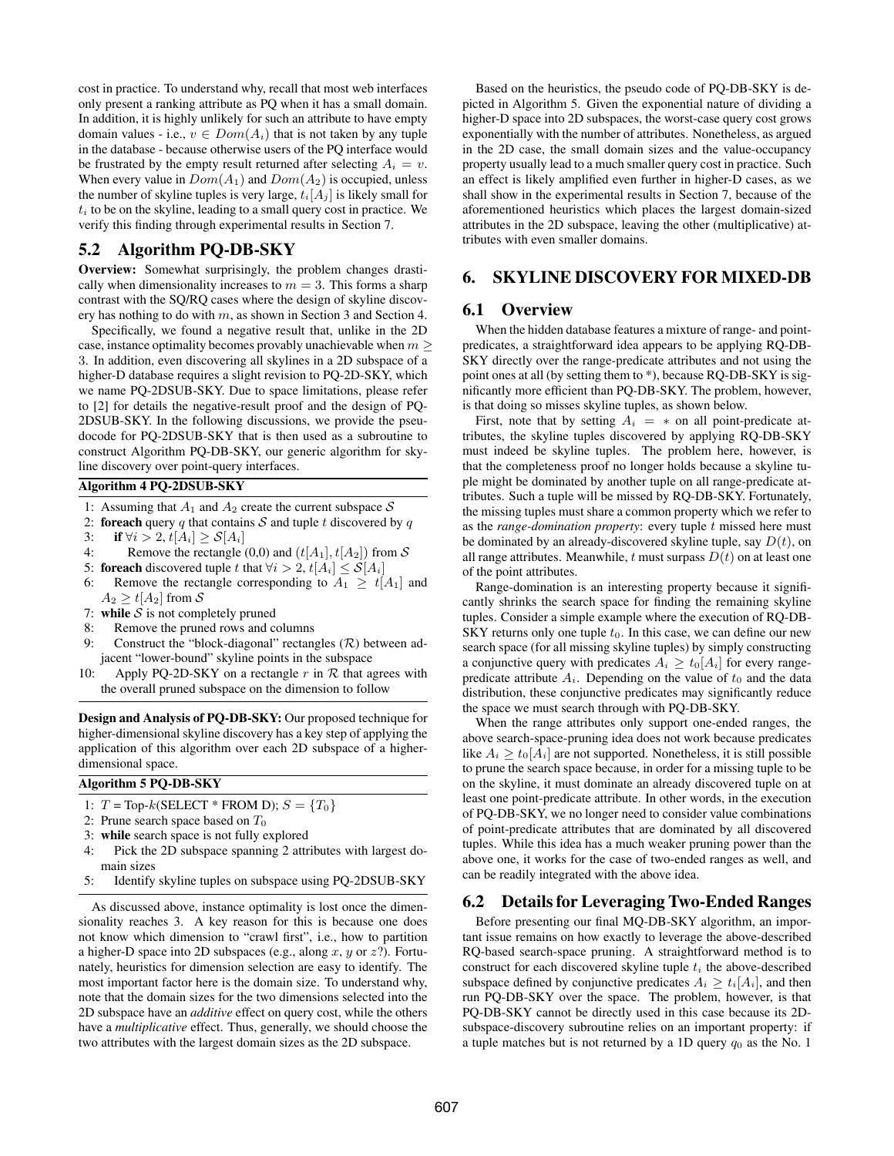cost in practice. To understand why, recall that most web interfaces only present a ranking attribute as PQ when it has a small domain. In addition, it is highly unlikely for such an attribute to have empty domain values - i.e.,  $v \in Dom(A_i)$  that is not taken by any tuple in the database - because otherwise users of the PQ interface would be frustrated by the empty result returned after selecting  $A_i = v$ . When every value in  $Dom(A_1)$  and  $Dom(A_2)$  is occupied, unless the number of skyline tuples is very large,  $t_i[A_i]$  is likely small for  $t_i$  to be on the skyline, leading to a small query cost in practice. We verify this finding through experimental results in Section 7.

#### 5.2 Algorithm PQ-DB-SKY

Overview: Somewhat surprisingly, the problem changes drastically when dimensionality increases to  $m = 3$ . This forms a sharp contrast with the SQ/RQ cases where the design of skyline discovery has nothing to do with  $m$ , as shown in Section 3 and Section 4.

Specifically, we found a negative result that, unlike in the 2D case, instance optimality becomes provably unachievable when  $m \geq$ 3. In addition, even discovering all skylines in a 2D subspace of a higher-D database requires a slight revision to PQ-2D-SKY, which we name PQ-2DSUB-SKY. Due to space limitations, please refer to [2] for details the negative-result proof and the design of PQ-2DSUB-SKY. In the following discussions, we provide the pseudocode for PQ-2DSUB-SKY that is then used as a subroutine to construct Algorithm PQ-DB-SKY, our generic algorithm for skyline discovery over point-query interfaces.

#### Algorithm 4 PQ-2DSUB-SKY

- 1: Assuming that  $A_1$  and  $A_2$  create the current subspace S
- 2: **foreach** query q that contains  $S$  and tuple t discovered by q

3: if  $\forall i > 2, t[A_i] \geq \mathcal{S}[A_i]$ 

- 4: Remove the rectangle (0,0) and  $(t[A_1], t[A_2])$  from S
- 5: **foreach** discovered tuple t that  $\forall i > 2$ ,  $t[A_i] \leq S[A_i]$
- 6: Remove the rectangle corresponding to  $A_1 \geq t[A_1]$  and  $A_2 \ge t[A_2]$  from S
- 7: while  $S$  is not completely pruned
- 8: Remove the pruned rows and columns
- 9: Construct the "block-diagonal" rectangles  $(\mathcal{R})$  between adjacent "lower-bound" skyline points in the subspace
- 10: Apply PQ-2D-SKY on a rectangle  $r$  in  $R$  that agrees with the overall pruned subspace on the dimension to follow

Design and Analysis of PQ-DB-SKY: Our proposed technique for higher-dimensional skyline discovery has a key step of applying the application of this algorithm over each 2D subspace of a higherdimensional space.

#### Algorithm 5 PQ-DB-SKY

1:  $T = \text{Top-}k(\text{SELECT} * \text{ FROM D}); S = \{T_0\}$ 

- 2: Prune search space based on  $T_0$
- 3: while search space is not fully explored
- 4: Pick the 2D subspace spanning 2 attributes with largest domain sizes
- 5: Identify skyline tuples on subspace using PQ-2DSUB-SKY

As discussed above, instance optimality is lost once the dimensionality reaches 3. A key reason for this is because one does not know which dimension to "crawl first", i.e., how to partition a higher-D space into 2D subspaces (e.g., along  $x, y$  or  $z$ ?). Fortunately, heuristics for dimension selection are easy to identify. The most important factor here is the domain size. To understand why, note that the domain sizes for the two dimensions selected into the 2D subspace have an *additive* effect on query cost, while the others have a *multiplicative* effect. Thus, generally, we should choose the two attributes with the largest domain sizes as the 2D subspace.

Based on the heuristics, the pseudo code of PQ-DB-SKY is depicted in Algorithm 5. Given the exponential nature of dividing a higher-D space into 2D subspaces, the worst-case query cost grows exponentially with the number of attributes. Nonetheless, as argued in the 2D case, the small domain sizes and the value-occupancy property usually lead to a much smaller query cost in practice. Such an effect is likely amplified even further in higher-D cases, as we shall show in the experimental results in Section 7, because of the aforementioned heuristics which places the largest domain-sized attributes in the 2D subspace, leaving the other (multiplicative) attributes with even smaller domains.

# 6. SKYLINE DISCOVERY FOR MIXED-DB

#### 6.1 Overview

When the hidden database features a mixture of range- and pointpredicates, a straightforward idea appears to be applying RQ-DB-SKY directly over the range-predicate attributes and not using the point ones at all (by setting them to \*), because RQ-DB-SKY is significantly more efficient than PQ-DB-SKY. The problem, however, is that doing so misses skyline tuples, as shown below.

First, note that by setting  $A_i = *$  on all point-predicate attributes, the skyline tuples discovered by applying RQ-DB-SKY must indeed be skyline tuples. The problem here, however, is that the completeness proof no longer holds because a skyline tuple might be dominated by another tuple on all range-predicate attributes. Such a tuple will be missed by RQ-DB-SKY. Fortunately, the missing tuples must share a common property which we refer to as the *range-domination property*: every tuple t missed here must be dominated by an already-discovered skyline tuple, say  $D(t)$ , on all range attributes. Meanwhile, t must surpass  $D(t)$  on at least one of the point attributes.

Range-domination is an interesting property because it significantly shrinks the search space for finding the remaining skyline tuples. Consider a simple example where the execution of RQ-DB-SKY returns only one tuple  $t_0$ . In this case, we can define our new search space (for all missing skyline tuples) by simply constructing a conjunctive query with predicates  $A_i \ge t_0[A_i]$  for every rangepredicate attribute  $A_i$ . Depending on the value of  $t_0$  and the data distribution, these conjunctive predicates may significantly reduce the space we must search through with PQ-DB-SKY.

When the range attributes only support one-ended ranges, the above search-space-pruning idea does not work because predicates like  $A_i \ge t_0[A_i]$  are not supported. Nonetheless, it is still possible to prune the search space because, in order for a missing tuple to be on the skyline, it must dominate an already discovered tuple on at least one point-predicate attribute. In other words, in the execution of PQ-DB-SKY, we no longer need to consider value combinations of point-predicate attributes that are dominated by all discovered tuples. While this idea has a much weaker pruning power than the above one, it works for the case of two-ended ranges as well, and can be readily integrated with the above idea.

# 6.2 Details for Leveraging Two-Ended Ranges

Before presenting our final MQ-DB-SKY algorithm, an important issue remains on how exactly to leverage the above-described RQ-based search-space pruning. A straightforward method is to construct for each discovered skyline tuple  $t_i$  the above-described subspace defined by conjunctive predicates  $A_i \geq t_i[A_i]$ , and then run PQ-DB-SKY over the space. The problem, however, is that PQ-DB-SKY cannot be directly used in this case because its 2Dsubspace-discovery subroutine relies on an important property: if a tuple matches but is not returned by a 1D query  $q_0$  as the No. 1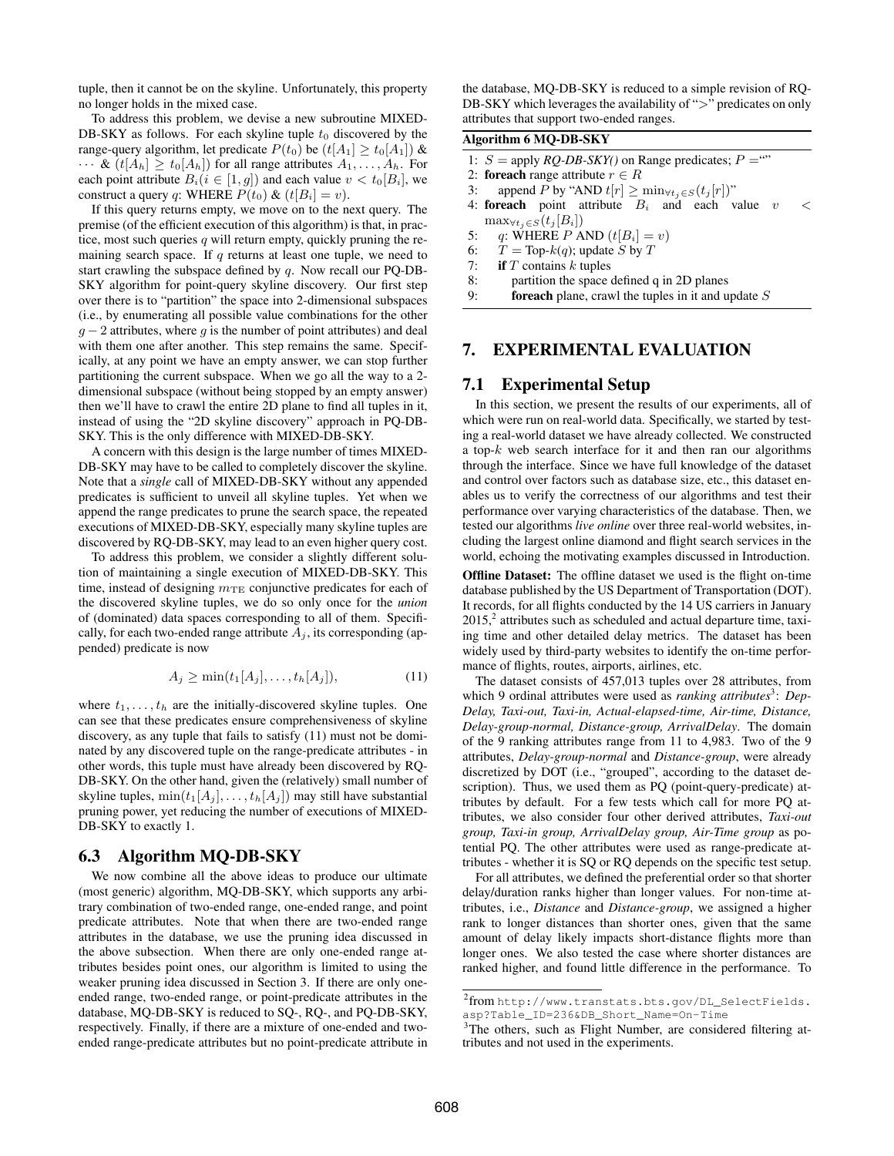tuple, then it cannot be on the skyline. Unfortunately, this property no longer holds in the mixed case.

To address this problem, we devise a new subroutine MIXED-DB-SKY as follows. For each skyline tuple  $t_0$  discovered by the range-query algorithm, let predicate  $P(t_0)$  be  $(t[A_1] \ge t_0[A_1])$  &  $\cdots$  &  $(t[A_h] \ge t_0[A_h])$  for all range attributes  $A_1, \ldots, A_h$ . For each point attribute  $B_i(i \in [1, g])$  and each value  $v < t_0[B_i]$ , we construct a query q: WHERE  $P(t_0) \& (t|B_i] = v$ ).

If this query returns empty, we move on to the next query. The premise (of the efficient execution of this algorithm) is that, in practice, most such queries  $q$  will return empty, quickly pruning the remaining search space. If  $q$  returns at least one tuple, we need to start crawling the subspace defined by  $q$ . Now recall our PQ-DB-SKY algorithm for point-query skyline discovery. Our first step over there is to "partition" the space into 2-dimensional subspaces (i.e., by enumerating all possible value combinations for the other  $g - 2$  attributes, where g is the number of point attributes) and deal with them one after another. This step remains the same. Specifically, at any point we have an empty answer, we can stop further partitioning the current subspace. When we go all the way to a 2 dimensional subspace (without being stopped by an empty answer) then we'll have to crawl the entire 2D plane to find all tuples in it, instead of using the "2D skyline discovery" approach in PQ-DB-SKY. This is the only difference with MIXED-DB-SKY.

A concern with this design is the large number of times MIXED-DB-SKY may have to be called to completely discover the skyline. Note that a *single* call of MIXED-DB-SKY without any appended predicates is sufficient to unveil all skyline tuples. Yet when we append the range predicates to prune the search space, the repeated executions of MIXED-DB-SKY, especially many skyline tuples are discovered by RQ-DB-SKY, may lead to an even higher query cost.

To address this problem, we consider a slightly different solution of maintaining a single execution of MIXED-DB-SKY. This time, instead of designing  $m_{\text{TE}}$  conjunctive predicates for each of the discovered skyline tuples, we do so only once for the *union* of (dominated) data spaces corresponding to all of them. Specifically, for each two-ended range attribute  $A_i$ , its corresponding (appended) predicate is now

$$
A_j \ge \min(t_1[A_j], \dots, t_h[A_j]),\tag{11}
$$

where  $t_1, \ldots, t_h$  are the initially-discovered skyline tuples. One can see that these predicates ensure comprehensiveness of skyline discovery, as any tuple that fails to satisfy (11) must not be dominated by any discovered tuple on the range-predicate attributes - in other words, this tuple must have already been discovered by RQ-DB-SKY. On the other hand, given the (relatively) small number of skyline tuples,  $\min(t_1[A_j], \ldots, t_h[A_j])$  may still have substantial pruning power, yet reducing the number of executions of MIXED-DB-SKY to exactly 1.

#### 6.3 Algorithm MQ-DB-SKY

We now combine all the above ideas to produce our ultimate (most generic) algorithm, MQ-DB-SKY, which supports any arbitrary combination of two-ended range, one-ended range, and point predicate attributes. Note that when there are two-ended range attributes in the database, we use the pruning idea discussed in the above subsection. When there are only one-ended range attributes besides point ones, our algorithm is limited to using the weaker pruning idea discussed in Section 3. If there are only oneended range, two-ended range, or point-predicate attributes in the database, MQ-DB-SKY is reduced to SQ-, RQ-, and PQ-DB-SKY, respectively. Finally, if there are a mixture of one-ended and twoended range-predicate attributes but no point-predicate attribute in the database, MQ-DB-SKY is reduced to a simple revision of RQ-DB-SKY which leverages the availability of ">" predicates on only attributes that support two-ended ranges.

#### Algorithm 6 MQ-DB-SKY

- 1:  $S =$  apply *RQ-DB-SKY()* on Range predicates;  $P = \cdots$
- 2: **foreach** range attribute  $r \in R$
- 3: append P by "AND  $t[r] \geq \min_{\forall t_j \in S} (t_j[r])$ "
- 4: **foreach** point attribute  $B_i$  and each value  $v \leq$  $\max_{\forall t_i \in S}(t_i |B_i|)$
- 5: q: WHERE P AND  $(t[B_i] = v)$
- 6:  $T = \text{Top-}k(q)$ ; update S by T
- 7: if  $T$  contains  $k$  tuples
- 8: partition the space defined q in 2D planes
- 9: **for each** plane, crawl the tuples in it and update  $S$

#### 7. EXPERIMENTAL EVALUATION

#### 7.1 Experimental Setup

In this section, we present the results of our experiments, all of which were run on real-world data. Specifically, we started by testing a real-world dataset we have already collected. We constructed a top- $k$  web search interface for it and then ran our algorithms through the interface. Since we have full knowledge of the dataset and control over factors such as database size, etc., this dataset enables us to verify the correctness of our algorithms and test their performance over varying characteristics of the database. Then, we tested our algorithms *live online* over three real-world websites, including the largest online diamond and flight search services in the world, echoing the motivating examples discussed in Introduction.

Offline Dataset: The offline dataset we used is the flight on-time database published by the US Department of Transportation (DOT). It records, for all flights conducted by the 14 US carriers in January  $2015$ ,<sup>2</sup> attributes such as scheduled and actual departure time, taxiing time and other detailed delay metrics. The dataset has been widely used by third-party websites to identify the on-time performance of flights, routes, airports, airlines, etc.

The dataset consists of 457,013 tuples over 28 attributes, from which 9 ordinal attributes were used as *ranking attributes*<sup>3</sup>: Dep-*Delay, Taxi-out, Taxi-in, Actual-elapsed-time, Air-time, Distance, Delay-group-normal, Distance-group, ArrivalDelay*. The domain of the 9 ranking attributes range from 11 to 4,983. Two of the 9 attributes, *Delay-group-normal* and *Distance-group*, were already discretized by DOT (i.e., "grouped", according to the dataset description). Thus, we used them as PQ (point-query-predicate) attributes by default. For a few tests which call for more PQ attributes, we also consider four other derived attributes, *Taxi-out group, Taxi-in group, ArrivalDelay group, Air-Time group* as potential PQ. The other attributes were used as range-predicate attributes - whether it is SQ or RQ depends on the specific test setup.

For all attributes, we defined the preferential order so that shorter delay/duration ranks higher than longer values. For non-time attributes, i.e., *Distance* and *Distance-group*, we assigned a higher rank to longer distances than shorter ones, given that the same amount of delay likely impacts short-distance flights more than longer ones. We also tested the case where shorter distances are ranked higher, and found little difference in the performance. To

<sup>2</sup> from http://www.transtats.bts.gov/DL\_SelectFields. asp?Table\_ID=236&DB\_Short\_Name=On-Time

<sup>&</sup>lt;sup>3</sup>The others, such as Flight Number, are considered filtering attributes and not used in the experiments.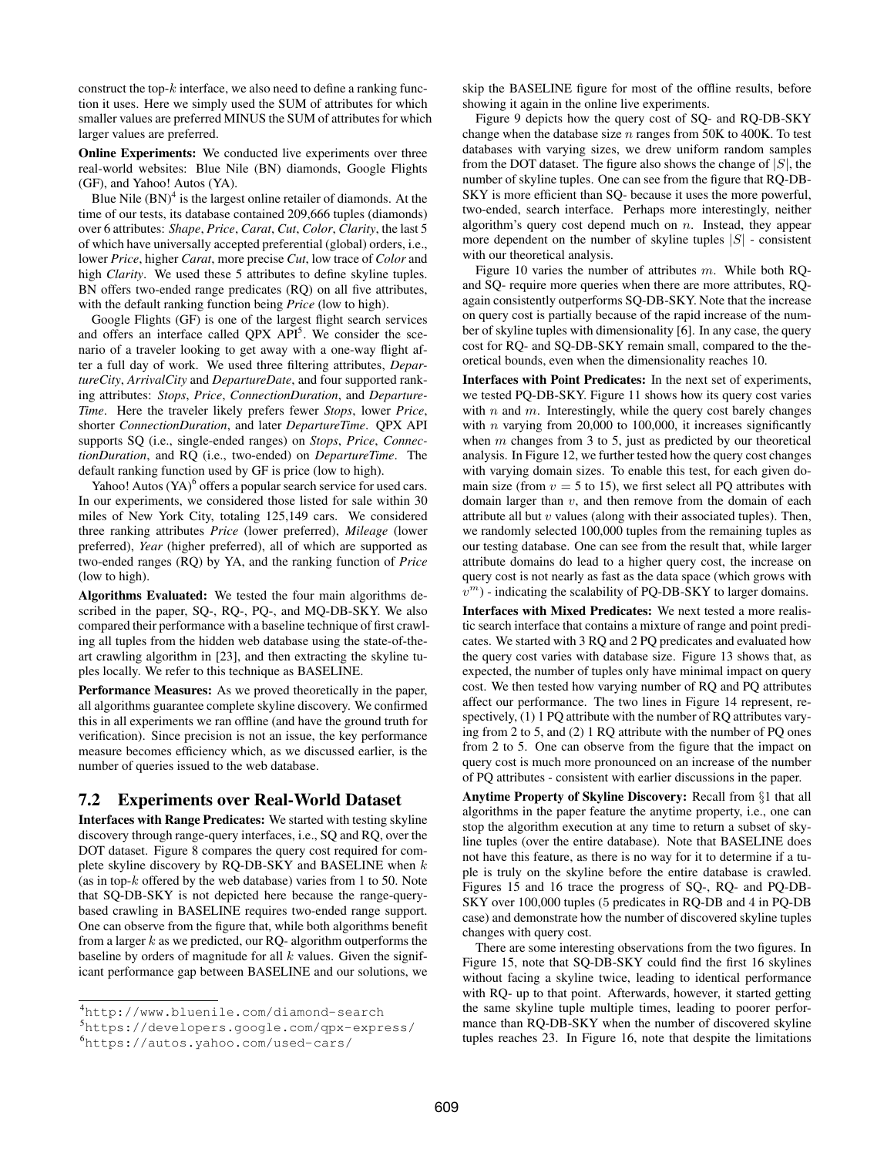construct the top- $k$  interface, we also need to define a ranking function it uses. Here we simply used the SUM of attributes for which smaller values are preferred MINUS the SUM of attributes for which larger values are preferred.

Online Experiments: We conducted live experiments over three real-world websites: Blue Nile (BN) diamonds, Google Flights (GF), and Yahoo! Autos (YA).

Blue Nile  $(BN)^4$  is the largest online retailer of diamonds. At the time of our tests, its database contained 209,666 tuples (diamonds) over 6 attributes: *Shape*, *Price*, *Carat*, *Cut*, *Color*, *Clarity*, the last 5 of which have universally accepted preferential (global) orders, i.e., lower *Price*, higher *Carat*, more precise *Cut*, low trace of *Color* and high *Clarity*. We used these 5 attributes to define skyline tuples. BN offers two-ended range predicates (RQ) on all five attributes, with the default ranking function being *Price* (low to high).

Google Flights (GF) is one of the largest flight search services and offers an interface called QPX API<sup>5</sup>. We consider the scenario of a traveler looking to get away with a one-way flight after a full day of work. We used three filtering attributes, *DepartureCity*, *ArrivalCity* and *DepartureDate*, and four supported ranking attributes: *Stops*, *Price*, *ConnectionDuration*, and *Departure-Time*. Here the traveler likely prefers fewer *Stops*, lower *Price*, shorter *ConnectionDuration*, and later *DepartureTime*. QPX API supports SQ (i.e., single-ended ranges) on *Stops*, *Price*, *ConnectionDuration*, and RQ (i.e., two-ended) on *DepartureTime*. The default ranking function used by GF is price (low to high).

Yahoo! Autos (YA)<sup>6</sup> offers a popular search service for used cars. In our experiments, we considered those listed for sale within 30 miles of New York City, totaling 125,149 cars. We considered three ranking attributes *Price* (lower preferred), *Mileage* (lower preferred), *Year* (higher preferred), all of which are supported as two-ended ranges (RQ) by YA, and the ranking function of *Price* (low to high).

Algorithms Evaluated: We tested the four main algorithms described in the paper, SQ-, RQ-, PQ-, and MQ-DB-SKY. We also compared their performance with a baseline technique of first crawling all tuples from the hidden web database using the state-of-theart crawling algorithm in [23], and then extracting the skyline tuples locally. We refer to this technique as BASELINE.

Performance Measures: As we proved theoretically in the paper, all algorithms guarantee complete skyline discovery. We confirmed this in all experiments we ran offline (and have the ground truth for verification). Since precision is not an issue, the key performance measure becomes efficiency which, as we discussed earlier, is the number of queries issued to the web database.

# 7.2 Experiments over Real-World Dataset

Interfaces with Range Predicates: We started with testing skyline discovery through range-query interfaces, i.e., SQ and RQ, over the DOT dataset. Figure 8 compares the query cost required for complete skyline discovery by RQ-DB-SKY and BASELINE when  $k$ (as in top- $k$  offered by the web database) varies from 1 to 50. Note that SQ-DB-SKY is not depicted here because the range-querybased crawling in BASELINE requires two-ended range support. One can observe from the figure that, while both algorithms benefit from a larger  $k$  as we predicted, our RQ- algorithm outperforms the baseline by orders of magnitude for all  $k$  values. Given the significant performance gap between BASELINE and our solutions, we

skip the BASELINE figure for most of the offline results, before showing it again in the online live experiments.

Figure 9 depicts how the query cost of SQ- and RQ-DB-SKY change when the database size  $n$  ranges from 50K to 400K. To test databases with varying sizes, we drew uniform random samples from the DOT dataset. The figure also shows the change of  $|S|$ , the number of skyline tuples. One can see from the figure that RQ-DB-SKY is more efficient than SQ- because it uses the more powerful, two-ended, search interface. Perhaps more interestingly, neither algorithm's query cost depend much on  $n$ . Instead, they appear more dependent on the number of skyline tuples  $|S|$  - consistent with our theoretical analysis.

Figure 10 varies the number of attributes m. While both RQand SQ- require more queries when there are more attributes, RQagain consistently outperforms SQ-DB-SKY. Note that the increase on query cost is partially because of the rapid increase of the number of skyline tuples with dimensionality [6]. In any case, the query cost for RQ- and SQ-DB-SKY remain small, compared to the theoretical bounds, even when the dimensionality reaches 10.

Interfaces with Point Predicates: In the next set of experiments, we tested PQ-DB-SKY. Figure 11 shows how its query cost varies with  $n$  and  $m$ . Interestingly, while the query cost barely changes with  $n$  varying from 20,000 to 100,000, it increases significantly when  $m$  changes from 3 to 5, just as predicted by our theoretical analysis. In Figure 12, we further tested how the query cost changes with varying domain sizes. To enable this test, for each given domain size (from  $v = 5$  to 15), we first select all PQ attributes with domain larger than  $v$ , and then remove from the domain of each attribute all but  $v$  values (along with their associated tuples). Then, we randomly selected 100,000 tuples from the remaining tuples as our testing database. One can see from the result that, while larger attribute domains do lead to a higher query cost, the increase on query cost is not nearly as fast as the data space (which grows with  $v^m$ ) - indicating the scalability of PQ-DB-SKY to larger domains.

Interfaces with Mixed Predicates: We next tested a more realistic search interface that contains a mixture of range and point predicates. We started with 3 RQ and 2 PQ predicates and evaluated how the query cost varies with database size. Figure 13 shows that, as expected, the number of tuples only have minimal impact on query cost. We then tested how varying number of RQ and PQ attributes affect our performance. The two lines in Figure 14 represent, respectively, (1) 1 PQ attribute with the number of RQ attributes varying from 2 to 5, and (2) 1 RQ attribute with the number of PQ ones from 2 to 5. One can observe from the figure that the impact on query cost is much more pronounced on an increase of the number of PQ attributes - consistent with earlier discussions in the paper.

Anytime Property of Skyline Discovery: Recall from §1 that all algorithms in the paper feature the anytime property, i.e., one can stop the algorithm execution at any time to return a subset of skyline tuples (over the entire database). Note that BASELINE does not have this feature, as there is no way for it to determine if a tuple is truly on the skyline before the entire database is crawled. Figures 15 and 16 trace the progress of SQ-, RQ- and PQ-DB-SKY over 100,000 tuples (5 predicates in RQ-DB and 4 in PQ-DB case) and demonstrate how the number of discovered skyline tuples changes with query cost.

There are some interesting observations from the two figures. In Figure 15, note that SQ-DB-SKY could find the first 16 skylines without facing a skyline twice, leading to identical performance with RQ- up to that point. Afterwards, however, it started getting the same skyline tuple multiple times, leading to poorer performance than RQ-DB-SKY when the number of discovered skyline tuples reaches 23. In Figure 16, note that despite the limitations

<sup>4</sup>http://www.bluenile.com/diamond-search

<sup>5</sup>https://developers.google.com/qpx-express/

<sup>6</sup>https://autos.yahoo.com/used-cars/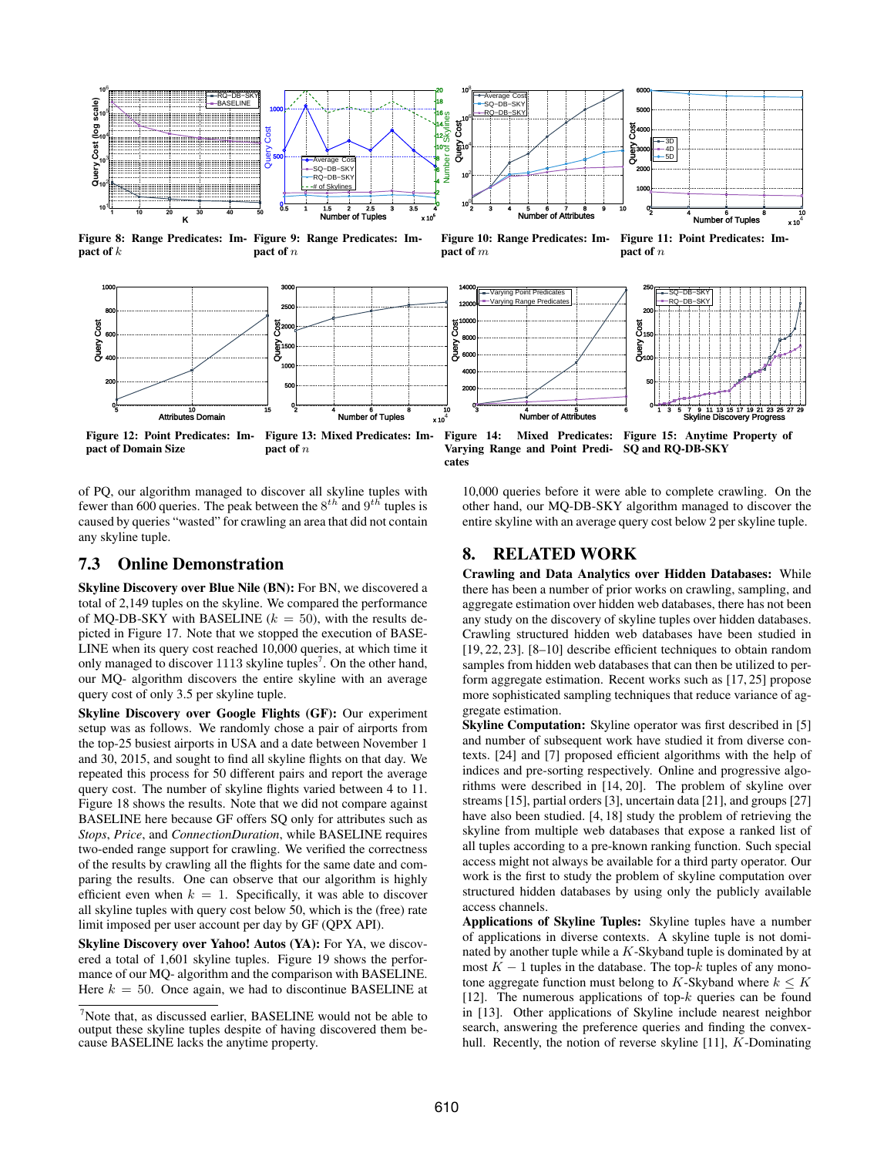



Figure 12: Point Predicates: Impact of Domain Size

pact of  $n$ 

Figure 14: Mixed Predicates: Figure 15: Anytime Property of Varying Range and Point Predi-SQ and RQ-DB-SKY cates

of PQ, our algorithm managed to discover all skyline tuples with fewer than 600 queries. The peak between the  $8^{th}$  and  $9^{th}$  tuples is caused by queries "wasted" for crawling an area that did not contain any skyline tuple.

# 7.3 Online Demonstration

Skyline Discovery over Blue Nile (BN): For BN, we discovered a total of 2,149 tuples on the skyline. We compared the performance of MQ-DB-SKY with BASELINE  $(k = 50)$ , with the results depicted in Figure 17. Note that we stopped the execution of BASE-LINE when its query cost reached 10,000 queries, at which time it only managed to discover 1113 skyline tuples<sup>7</sup>. On the other hand, our MQ- algorithm discovers the entire skyline with an average query cost of only 3.5 per skyline tuple.

Skyline Discovery over Google Flights (GF): Our experiment setup was as follows. We randomly chose a pair of airports from the top-25 busiest airports in USA and a date between November 1 and 30, 2015, and sought to find all skyline flights on that day. We repeated this process for 50 different pairs and report the average query cost. The number of skyline flights varied between 4 to 11. Figure 18 shows the results. Note that we did not compare against BASELINE here because GF offers SQ only for attributes such as *Stops*, *Price*, and *ConnectionDuration*, while BASELINE requires two-ended range support for crawling. We verified the correctness of the results by crawling all the flights for the same date and comparing the results. One can observe that our algorithm is highly efficient even when  $k = 1$ . Specifically, it was able to discover all skyline tuples with query cost below 50, which is the (free) rate limit imposed per user account per day by GF (QPX API).

Skyline Discovery over Yahoo! Autos (YA): For YA, we discovered a total of 1,601 skyline tuples. Figure 19 shows the performance of our MQ- algorithm and the comparison with BASELINE. Here  $k = 50$ . Once again, we had to discontinue BASELINE at

10,000 queries before it were able to complete crawling. On the other hand, our MQ-DB-SKY algorithm managed to discover the entire skyline with an average query cost below 2 per skyline tuple.

# 8. RELATED WORK

Crawling and Data Analytics over Hidden Databases: While there has been a number of prior works on crawling, sampling, and aggregate estimation over hidden web databases, there has not been any study on the discovery of skyline tuples over hidden databases. Crawling structured hidden web databases have been studied in [19, 22, 23]. [8–10] describe efficient techniques to obtain random samples from hidden web databases that can then be utilized to perform aggregate estimation. Recent works such as [17, 25] propose more sophisticated sampling techniques that reduce variance of aggregate estimation.

Skyline Computation: Skyline operator was first described in [5] and number of subsequent work have studied it from diverse contexts. [24] and [7] proposed efficient algorithms with the help of indices and pre-sorting respectively. Online and progressive algorithms were described in [14, 20]. The problem of skyline over streams [15], partial orders [3], uncertain data [21], and groups [27] have also been studied. [4, 18] study the problem of retrieving the skyline from multiple web databases that expose a ranked list of all tuples according to a pre-known ranking function. Such special access might not always be available for a third party operator. Our work is the first to study the problem of skyline computation over structured hidden databases by using only the publicly available access channels.

Applications of Skyline Tuples: Skyline tuples have a number of applications in diverse contexts. A skyline tuple is not dominated by another tuple while a K-Skyband tuple is dominated by at most  $K - 1$  tuples in the database. The top-k tuples of any monotone aggregate function must belong to K-Skyband where  $k \leq K$ [12]. The numerous applications of top- $k$  queries can be found in [13]. Other applications of Skyline include nearest neighbor search, answering the preference queries and finding the convexhull. Recently, the notion of reverse skyline [11], K-Dominating

 $<sup>7</sup>$ Note that, as discussed earlier, BASELINE would not be able to</sup> output these skyline tuples despite of having discovered them because BASELINE lacks the anytime property.